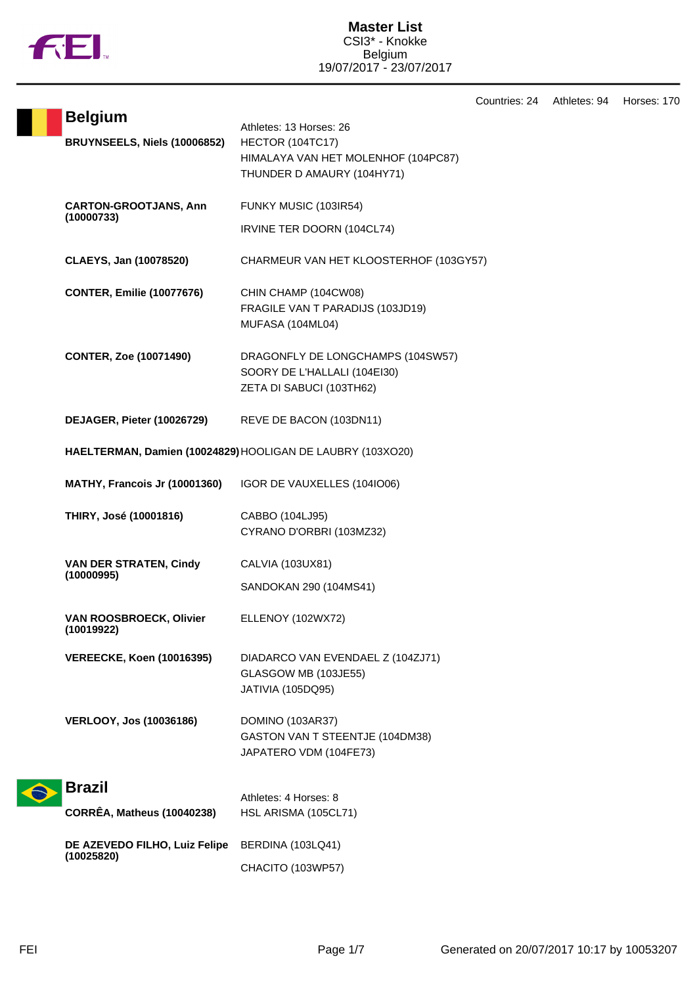

Countries: 24 Athletes: 94 Horses: 170

| <b>Belgium</b>                               | Athletes: 13 Horses: 26                                                                       |
|----------------------------------------------|-----------------------------------------------------------------------------------------------|
| BRUYNSEELS, Niels (10006852)                 | HECTOR (104TC17)<br>HIMALAYA VAN HET MOLENHOF (104PC87)<br>THUNDER D AMAURY (104HY71)         |
| <b>CARTON-GROOTJANS, Ann</b>                 | FUNKY MUSIC (103IR54)                                                                         |
| (10000733)                                   | IRVINE TER DOORN (104CL74)                                                                    |
| CLAEYS, Jan (10078520)                       | CHARMEUR VAN HET KLOOSTERHOF (103GY57)                                                        |
| <b>CONTER, Emilie (10077676)</b>             | CHIN CHAMP (104CW08)<br>FRAGILE VAN T PARADIJS (103JD19)<br>MUFASA (104ML04)                  |
| <b>CONTER, Zoe (10071490)</b>                | DRAGONFLY DE LONGCHAMPS (104SW57)<br>SOORY DE L'HALLALI (104EI30)<br>ZETA DI SABUCI (103TH62) |
| DEJAGER, Pieter (10026729)                   | REVE DE BACON (103DN11)                                                                       |
|                                              | HAELTERMAN, Damien (10024829) HOOLIGAN DE LAUBRY (103XO20)                                    |
| <b>MATHY, Francois Jr (10001360)</b>         | IGOR DE VAUXELLES (104IO06)                                                                   |
| THIRY, José (10001816)                       | CABBO (104LJ95)<br>CYRANO D'ORBRI (103MZ32)                                                   |
| <b>VAN DER STRATEN, Cindy</b><br>(10000995)  | CALVIA (103UX81)                                                                              |
|                                              | SANDOKAN 290 (104MS41)                                                                        |
| <b>VAN ROOSBROECK, Olivier</b><br>(10019922) | ELLENOY (102WX72)                                                                             |
| <b>VEREECKE, Koen (10016395)</b>             | DIADARCO VAN EVENDAEL Z (104ZJ71)<br>GLASGOW MB (103JE55)<br>JATIVIA (105DQ95)                |
| <b>VERLOOY, Jos (10036186)</b>               | DOMINO (103AR37)<br>GASTON VAN T STEENTJE (104DM38)<br>JAPATERO VDM (104FE73)                 |
| <b>Brazil</b>                                | Athletes: 4 Horses: 8                                                                         |
| <b>CORRÊA, Matheus (10040238)</b>            | HSL ARISMA (105CL71)                                                                          |
| DE AZEVEDO FILHO, Luiz Felipe<br>(10025820)  | BERDINA (103LQ41)                                                                             |
|                                              | CHACITO (103WP57)                                                                             |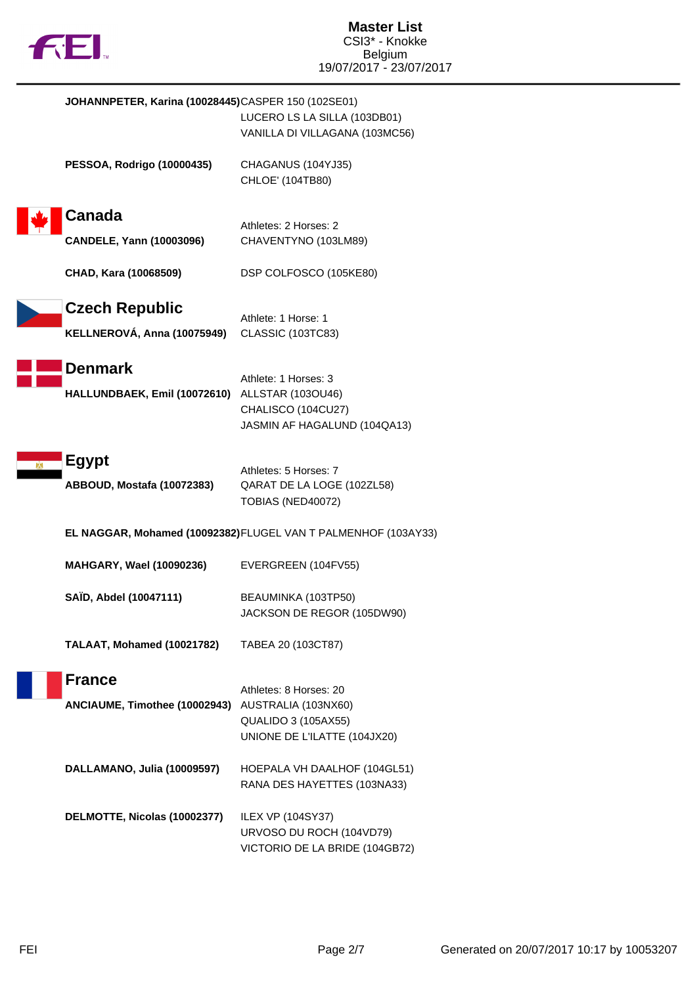

| JOHANNPETER, Karina (10028445)CASPER 150 (102SE01)               | LUCERO LS LA SILLA (103DB01)<br>VANILLA DI VILLAGANA (103MC56)                                              |
|------------------------------------------------------------------|-------------------------------------------------------------------------------------------------------------|
| <b>PESSOA, Rodrigo (10000435)</b>                                | CHAGANUS (104YJ35)<br>CHLOE' (104TB80)                                                                      |
| Canada<br><b>CANDELE, Yann (10003096)</b>                        | Athletes: 2 Horses: 2<br>CHAVENTYNO (103LM89)                                                               |
| CHAD, Kara (10068509)                                            | DSP COLFOSCO (105KE80)                                                                                      |
| <b>Czech Republic</b><br>KELLNEROVÁ, Anna (10075949)             | Athlete: 1 Horse: 1<br>CLASSIC (103TC83)                                                                    |
| <b>Denmark</b><br>HALLUNDBAEK, Emil (10072610) ALLSTAR (103OU46) | Athlete: 1 Horses: 3<br>CHALISCO (104CU27)<br>JASMIN AF HAGALUND (104QA13)                                  |
| <b>Egypt</b><br>ABBOUD, Mostafa (10072383)                       | Athletes: 5 Horses: 7<br>QARAT DE LA LOGE (102ZL58)<br>TOBIAS (NED40072)                                    |
|                                                                  | EL NAGGAR, Mohamed (10092382) FLUGEL VAN T PALMENHOF (103AY33)                                              |
| MAHGARY, Wael (10090236)                                         | EVERGREEN (104FV55)                                                                                         |
| SAÏD, Abdel (10047111)                                           | BEAUMINKA (103TP50)<br>JACKSON DE REGOR (105DW90)                                                           |
| TALAAT, Mohamed (10021782)                                       | TABEA 20 (103CT87)                                                                                          |
| <b>France</b><br>ANCIAUME, Timothee (10002943)                   | Athletes: 8 Horses: 20<br>AUSTRALIA (103NX60)<br><b>QUALIDO 3 (105AX55)</b><br>UNIONE DE L'ILATTE (104JX20) |
| DALLAMANO, Julia (10009597)                                      | HOEPALA VH DAALHOF (104GL51)<br>RANA DES HAYETTES (103NA33)                                                 |
| DELMOTTE, Nicolas (10002377)                                     | <b>ILEX VP (104SY37)</b><br>URVOSO DU ROCH (104VD79)<br>VICTORIO DE LA BRIDE (104GB72)                      |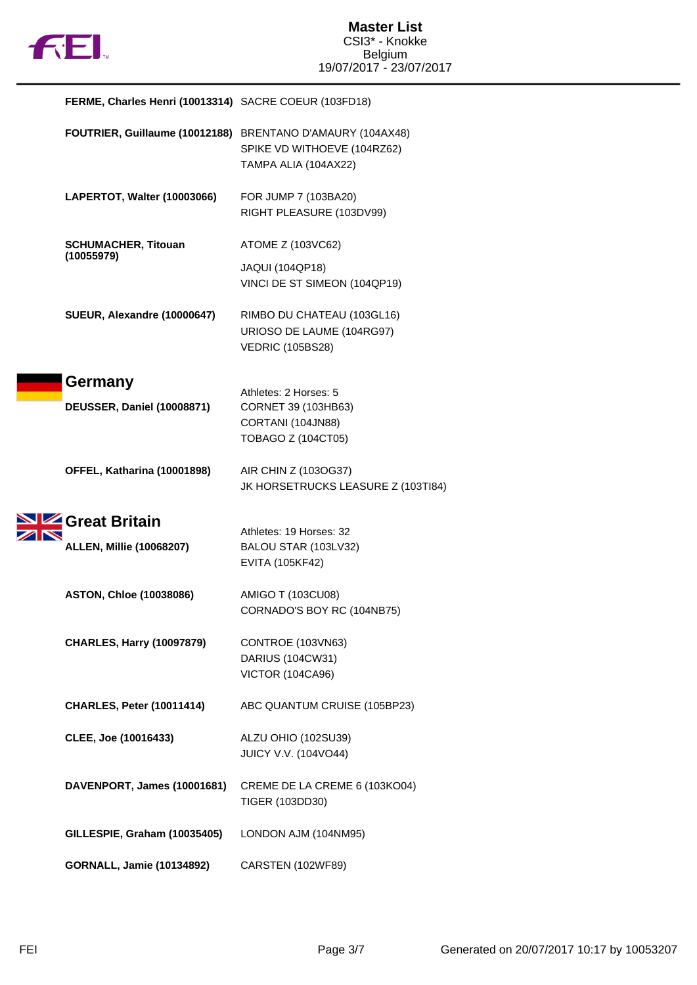

# **FERME, Charles Henri (10013314)** SACRE COEUR (103FD18)

|                                   | FOUTRIER, Guillaume (10012188) BRENTANO D'AMAURY (104AX48)<br>SPIKE VD WITHOEVE (104RZ62)<br>TAMPA ALIA (104AX22) |
|-----------------------------------|-------------------------------------------------------------------------------------------------------------------|
| LAPERTOT, Walter (10003066)       | FOR JUMP 7 (103BA20)<br>RIGHT PLEASURE (103DV99)                                                                  |
| <b>SCHUMACHER, Titouan</b>        | ATOME Z (103VC62)                                                                                                 |
| (10055979)                        | <b>JAQUI (104QP18)</b><br>VINCI DE ST SIMEON (104QP19)                                                            |
| SUEUR, Alexandre (10000647)       | RIMBO DU CHATEAU (103GL16)<br>URIOSO DE LAUME (104RG97)<br><b>VEDRIC (105BS28)</b>                                |
| Germany                           | Athletes: 2 Horses: 5                                                                                             |
| <b>DEUSSER, Daniel (10008871)</b> | CORNET 39 (103HB63)                                                                                               |
|                                   | CORTANI (104JN88)<br>TOBAGO Z (104CT05)                                                                           |
| OFFEL, Katharina (10001898)       | AIR CHIN Z (103OG37)<br>JK HORSETRUCKS LEASURE Z (103TI84)                                                        |
| <b>4 Great Britain</b>            | Athletes: 19 Horses: 32                                                                                           |
| <b>ALLEN, Millie (10068207)</b>   | BALOU STAR (103LV32)                                                                                              |
|                                   | <b>EVITA (105KF42)</b>                                                                                            |
| <b>ASTON, Chloe (10038086)</b>    | AMIGO T (103CU08)                                                                                                 |
|                                   | CORNADO'S BOY RC (104NB75)                                                                                        |
| <b>CHARLES, Harry (10097879)</b>  | CONTROE (103VN63)                                                                                                 |
|                                   | DARIUS (104CW31)<br><b>VICTOR (104CA96)</b>                                                                       |
|                                   |                                                                                                                   |
| <b>CHARLES, Peter (10011414)</b>  | ABC QUANTUM CRUISE (105BP23)                                                                                      |
| CLEE, Joe (10016433)              | ALZU OHIO (102SU39)                                                                                               |
|                                   | JUICY V.V. (104VO44)                                                                                              |
| DAVENPORT, James (10001681)       | CREME DE LA CREME 6 (103KO04)<br>TIGER (103DD30)                                                                  |
| GILLESPIE, Graham (10035405)      | LONDON AJM (104NM95)                                                                                              |
| <b>GORNALL, Jamie (10134892)</b>  | CARSTEN (102WF89)                                                                                                 |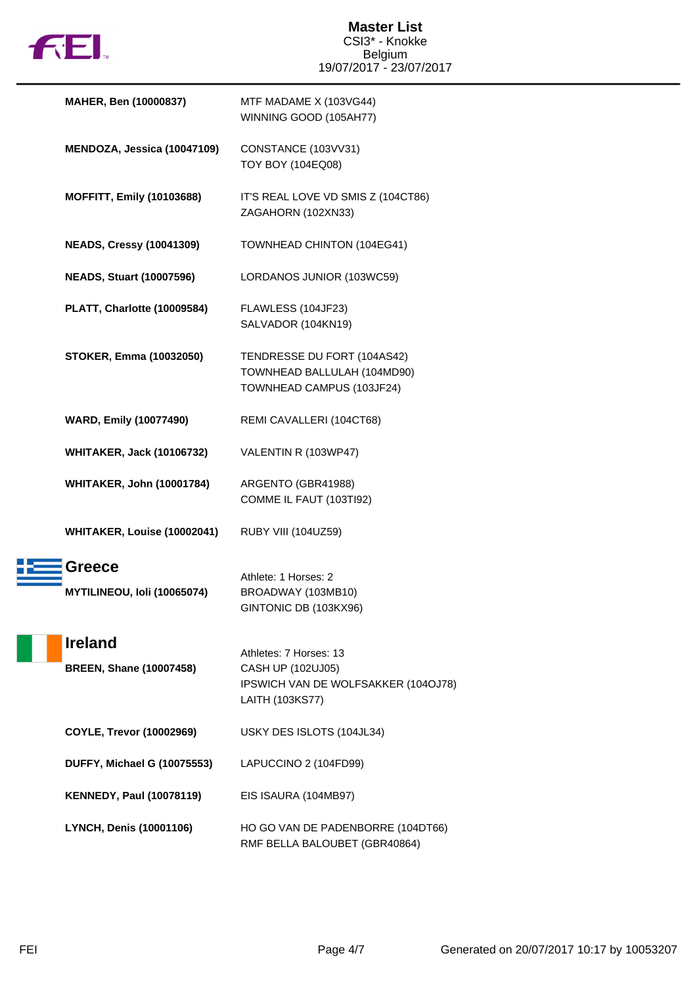

| MAHER, Ben (10000837)                            | MTF MADAME X (103VG44)<br>WINNING GOOD (105AH77)                                                      |
|--------------------------------------------------|-------------------------------------------------------------------------------------------------------|
| MENDOZA, Jessica (10047109)                      | CONSTANCE (103VV31)<br>TOY BOY (104EQ08)                                                              |
| <b>MOFFITT, Emily (10103688)</b>                 | IT'S REAL LOVE VD SMIS Z (104CT86)<br>ZAGAHORN (102XN33)                                              |
| <b>NEADS, Cressy (10041309)</b>                  | TOWNHEAD CHINTON (104EG41)                                                                            |
| <b>NEADS, Stuart (10007596)</b>                  | LORDANOS JUNIOR (103WC59)                                                                             |
| PLATT, Charlotte (10009584)                      | FLAWLESS (104JF23)<br>SALVADOR (104KN19)                                                              |
| <b>STOKER, Emma (10032050)</b>                   | TENDRESSE DU FORT (104AS42)<br>TOWNHEAD BALLULAH (104MD90)<br>TOWNHEAD CAMPUS (103JF24)               |
| <b>WARD, Emily (10077490)</b>                    | REMI CAVALLERI (104CT68)                                                                              |
| <b>WHITAKER, Jack (10106732)</b>                 | VALENTIN R (103WP47)                                                                                  |
| <b>WHITAKER, John (10001784)</b>                 | ARGENTO (GBR41988)<br>COMME IL FAUT (103TI92)                                                         |
| WHITAKER, Louise (10002041)                      | RUBY VIII (104UZ59)                                                                                   |
| Greece<br>MYTILINEOU, Ioli (10065074)            | Athlete: 1 Horses: 2<br>BROADWAY (103MB10)<br>GINTONIC DB (103KX96)                                   |
| <b>Ireland</b><br><b>BREEN, Shane (10007458)</b> | Athletes: 7 Horses: 13<br>CASH UP (102UJ05)<br>IPSWICH VAN DE WOLFSAKKER (104OJ78)<br>LAITH (103KS77) |
| <b>COYLE, Trevor (10002969)</b>                  | USKY DES ISLOTS (104JL34)                                                                             |
| <b>DUFFY, Michael G (10075553)</b>               | LAPUCCINO 2 (104FD99)                                                                                 |
| <b>KENNEDY, Paul (10078119)</b>                  | EIS ISAURA (104MB97)                                                                                  |
| <b>LYNCH, Denis (10001106)</b>                   | HO GO VAN DE PADENBORRE (104DT66)<br>RMF BELLA BALOUBET (GBR40864)                                    |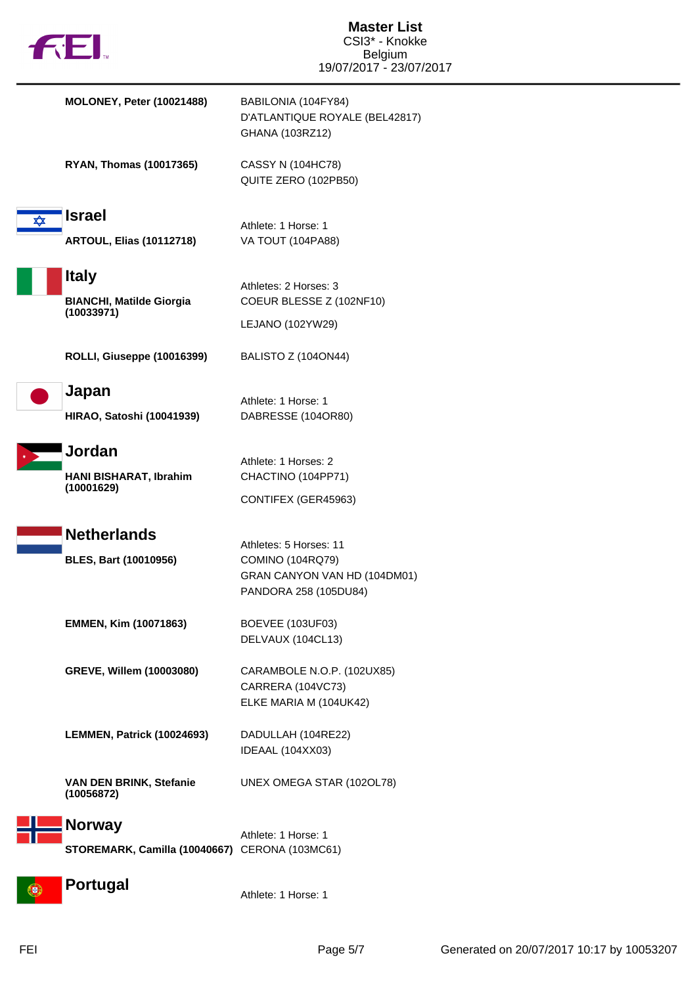| fill.                                                           | <b>Master List</b><br>CSI3* - Knokke<br><b>Belgium</b><br>19/07/2017 - 23/07/2017                   |
|-----------------------------------------------------------------|-----------------------------------------------------------------------------------------------------|
| <b>MOLONEY, Peter (10021488)</b>                                | BABILONIA (104FY84)<br>D'ATLANTIQUE ROYALE (BEL42817)<br>GHANA (103RZ12)                            |
| <b>RYAN, Thomas (10017365)</b>                                  | <b>CASSY N (104HC78)</b><br>QUITE ZERO (102PB50)                                                    |
| <b>Israel</b><br>✿<br><b>ARTOUL, Elias (10112718)</b>           | Athlete: 1 Horse: 1<br>VA TOUT (104PA88)                                                            |
| <b>Italy</b><br><b>BIANCHI, Matilde Giorgia</b><br>(10033971)   | Athletes: 2 Horses: 3<br>COEUR BLESSE Z (102NF10)<br>LEJANO (102YW29)                               |
| ROLLI, Giuseppe (10016399)                                      | BALISTO Z (104ON44)                                                                                 |
| Japan<br><b>HIRAO, Satoshi (10041939)</b>                       | Athlete: 1 Horse: 1<br>DABRESSE (104OR80)                                                           |
| Jordan<br>HANI BISHARAT, Ibrahim<br>(10001629)                  | Athlete: 1 Horses: 2<br>CHACTINO (104PP71)<br>CONTIFEX (GER45963)                                   |
| <b>Netherlands</b><br><b>BLES, Bart (10010956)</b>              | Athletes: 5 Horses: 11<br>COMINO (104RQ79)<br>GRAN CANYON VAN HD (104DM01)<br>PANDORA 258 (105DU84) |
| EMMEN, Kim (10071863)                                           | BOEVEE (103UF03)<br>DELVAUX (104CL13)                                                               |
| GREVE, Willem (10003080)                                        | CARAMBOLE N.O.P. (102UX85)<br>CARRERA (104VC73)<br>ELKE MARIA M (104UK42)                           |
| LEMMEN, Patrick (10024693)                                      | DADULLAH (104RE22)<br>IDEAAL (104XX03)                                                              |
| VAN DEN BRINK, Stefanie<br>(10056872)                           | UNEX OMEGA STAR (102OL78)                                                                           |
| <b>Norway</b><br>STOREMARK, Camilla (10040667) CERONA (103MC61) | Athlete: 1 Horse: 1                                                                                 |
| <b>Portugal</b><br>[€}                                          | Athlete: 1 Horse: 1                                                                                 |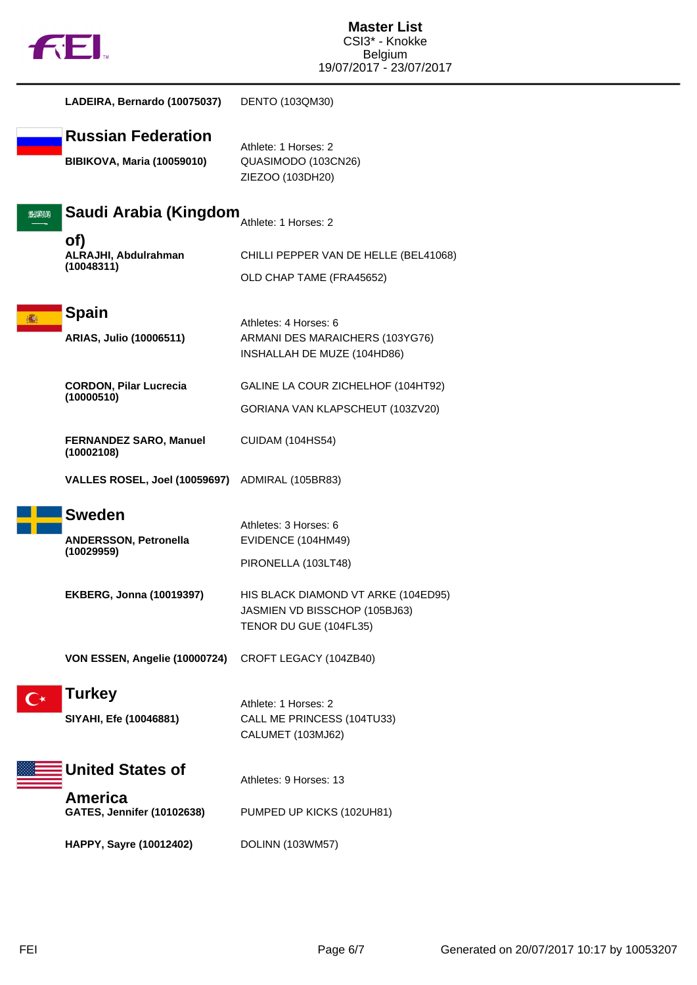

|      | LADEIRA, Bernardo (10075037)                                   | DENTO (103QM30)                                                                                |
|------|----------------------------------------------------------------|------------------------------------------------------------------------------------------------|
|      | <b>Russian Federation</b><br><b>BIBIKOVA, Maria (10059010)</b> | Athlete: 1 Horses: 2<br>QUASIMODO (103CN26)<br>ZIEZOO (103DH20)                                |
| 2020 | Saudi Arabia (Kingdom                                          | Athlete: 1 Horses: 2                                                                           |
|      | of)<br>ALRAJHI, Abdulrahman<br>(10048311)                      | CHILLI PEPPER VAN DE HELLE (BEL41068)<br>OLD CHAP TAME (FRA45652)                              |
|      | <b>Spain</b><br>ARIAS, Julio (10006511)                        | Athletes: 4 Horses: 6<br>ARMANI DES MARAICHERS (103YG76)<br>INSHALLAH DE MUZE (104HD86)        |
|      | <b>CORDON, Pilar Lucrecia</b><br>(10000510)                    | GALINE LA COUR ZICHELHOF (104HT92)                                                             |
|      |                                                                | GORIANA VAN KLAPSCHEUT (103ZV20)                                                               |
|      | <b>FERNANDEZ SARO, Manuel</b><br>(10002108)                    | <b>CUIDAM (104HS54)</b>                                                                        |
|      | <b>VALLES ROSEL, Joel (10059697)</b>                           | ADMIRAL (105BR83)                                                                              |
|      | <b>Sweden</b><br><b>ANDERSSON, Petronella</b><br>(10029959)    | Athletes: 3 Horses: 6<br>EVIDENCE (104HM49)<br>PIRONELLA (103LT48)                             |
|      | <b>EKBERG, Jonna (10019397)</b>                                | HIS BLACK DIAMOND VT ARKE (104ED95)<br>JASMIEN VD BISSCHOP (105BJ63)<br>TENOR DU GUE (104FL35) |
|      | VON ESSEN, Angelie (10000724)                                  | CROFT LEGACY (104ZB40)                                                                         |
|      | <b>Turkey</b><br>SIYAHI, Efe (10046881)                        | Athlete: 1 Horses: 2<br>CALL ME PRINCESS (104TU33)<br>CALUMET (103MJ62)                        |
|      | <b>United States of</b>                                        | Athletes: 9 Horses: 13                                                                         |
|      | <b>America</b><br><b>GATES, Jennifer (10102638)</b>            | PUMPED UP KICKS (102UH81)                                                                      |
|      | HAPPY, Sayre (10012402)                                        | DOLINN (103WM57)                                                                               |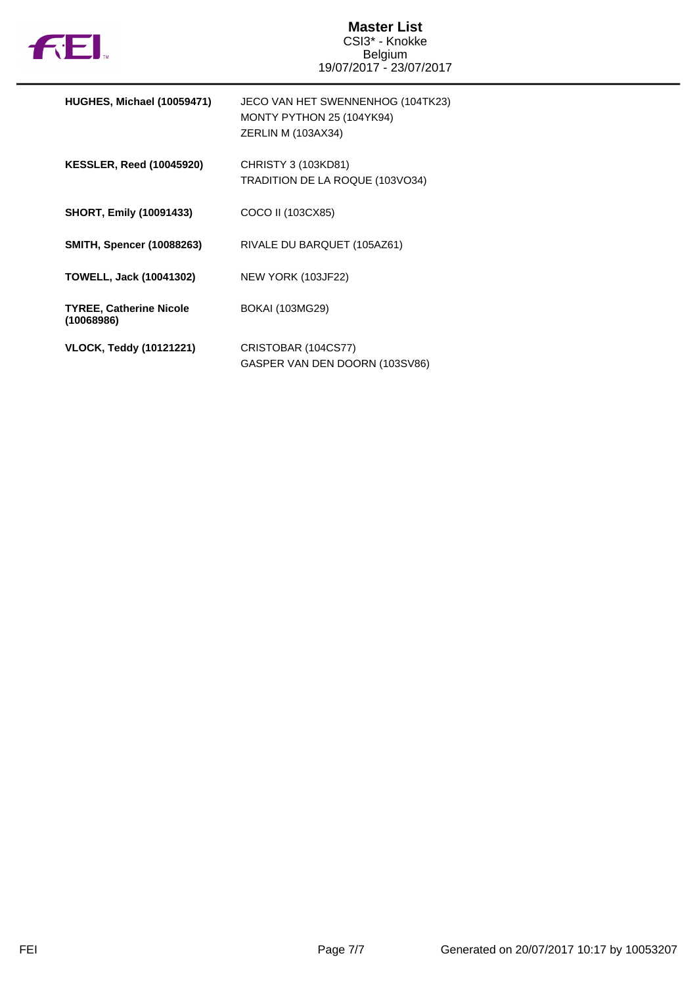

| HUGHES, Michael (10059471)                   | JECO VAN HET SWENNENHOG (104TK23)<br>MONTY PYTHON 25 (104YK94)<br>ZERLIN M (103AX34) |
|----------------------------------------------|--------------------------------------------------------------------------------------|
| <b>KESSLER, Reed (10045920)</b>              | CHRISTY 3 (103KD81)<br>TRADITION DE LA ROQUE (103VO34)                               |
| <b>SHORT, Emily (10091433)</b>               | COCO II (103CX85)                                                                    |
| <b>SMITH, Spencer (10088263)</b>             | RIVALE DU BARQUET (105AZ61)                                                          |
| <b>TOWELL, Jack (10041302)</b>               | <b>NEW YORK (103JF22)</b>                                                            |
| <b>TYREE, Catherine Nicole</b><br>(10068986) | <b>BOKAI (103MG29)</b>                                                               |
| <b>VLOCK, Teddy (10121221)</b>               | CRISTOBAR (104CS77)<br>GASPER VAN DEN DOORN (103SV86)                                |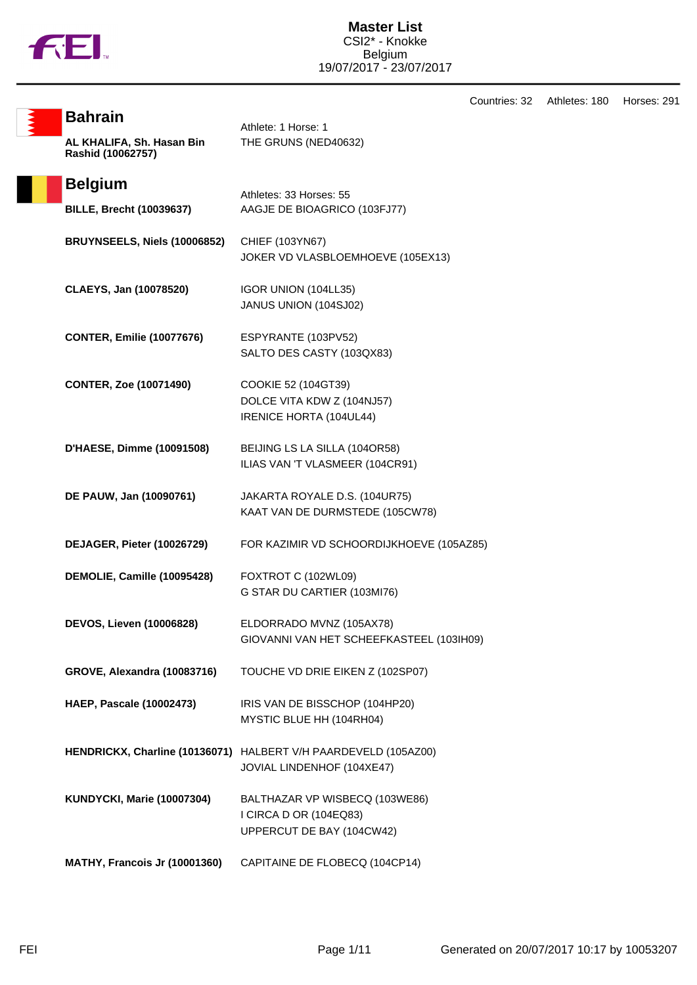

Countries: 32 Athletes: 180 Horses: 291

| <b>Bahrain</b>                                 | Athlete: 1 Horse: 1                                                                   |
|------------------------------------------------|---------------------------------------------------------------------------------------|
| AL KHALIFA, Sh. Hasan Bin<br>Rashid (10062757) | THE GRUNS (NED40632)                                                                  |
| <b>Belgium</b>                                 | Athletes: 33 Horses: 55                                                               |
| <b>BILLE, Brecht (10039637)</b>                | AAGJE DE BIOAGRICO (103FJ77)                                                          |
| BRUYNSEELS, Niels (10006852)                   | CHIEF (103YN67)<br>JOKER VD VLASBLOEMHOEVE (105EX13)                                  |
| CLAEYS, Jan (10078520)                         | IGOR UNION (104LL35)<br>JANUS UNION (104SJ02)                                         |
| <b>CONTER, Emilie (10077676)</b>               | ESPYRANTE (103PV52)<br>SALTO DES CASTY (103QX83)                                      |
| <b>CONTER, Zoe (10071490)</b>                  | COOKIE 52 (104GT39)<br>DOLCE VITA KDW Z (104NJ57)<br>IRENICE HORTA (104UL44)          |
| D'HAESE, Dimme (10091508)                      | BEIJING LS LA SILLA (104OR58)<br>ILIAS VAN 'T VLASMEER (104CR91)                      |
| DE PAUW, Jan (10090761)                        | JAKARTA ROYALE D.S. (104UR75)<br>KAAT VAN DE DURMSTEDE (105CW78)                      |
| DEJAGER, Pieter (10026729)                     | FOR KAZIMIR VD SCHOORDIJKHOEVE (105AZ85)                                              |
| DEMOLIE, Camille (10095428)                    | FOXTROT C (102WL09)<br>G STAR DU CARTIER (103MI76)                                    |
| <b>DEVOS, Lieven (10006828)</b>                | ELDORRADO MVNZ (105AX78)<br>GIOVANNI VAN HET SCHEEFKASTEEL (103IH09)                  |
| GROVE, Alexandra (10083716)                    | TOUCHE VD DRIE EIKEN Z (102SP07)                                                      |
| <b>HAEP, Pascale (10002473)</b>                | IRIS VAN DE BISSCHOP (104HP20)<br>MYSTIC BLUE HH (104RH04)                            |
| HENDRICKX, Charline (10136071)                 | HALBERT V/H PAARDEVELD (105AZ00)<br>JOVIAL LINDENHOF (104XE47)                        |
| <b>KUNDYCKI, Marie (10007304)</b>              | BALTHAZAR VP WISBECQ (103WE86)<br>I CIRCA D OR (104EQ83)<br>UPPERCUT DE BAY (104CW42) |
| MATHY, Francois Jr (10001360)                  | CAPITAINE DE FLOBECQ (104CP14)                                                        |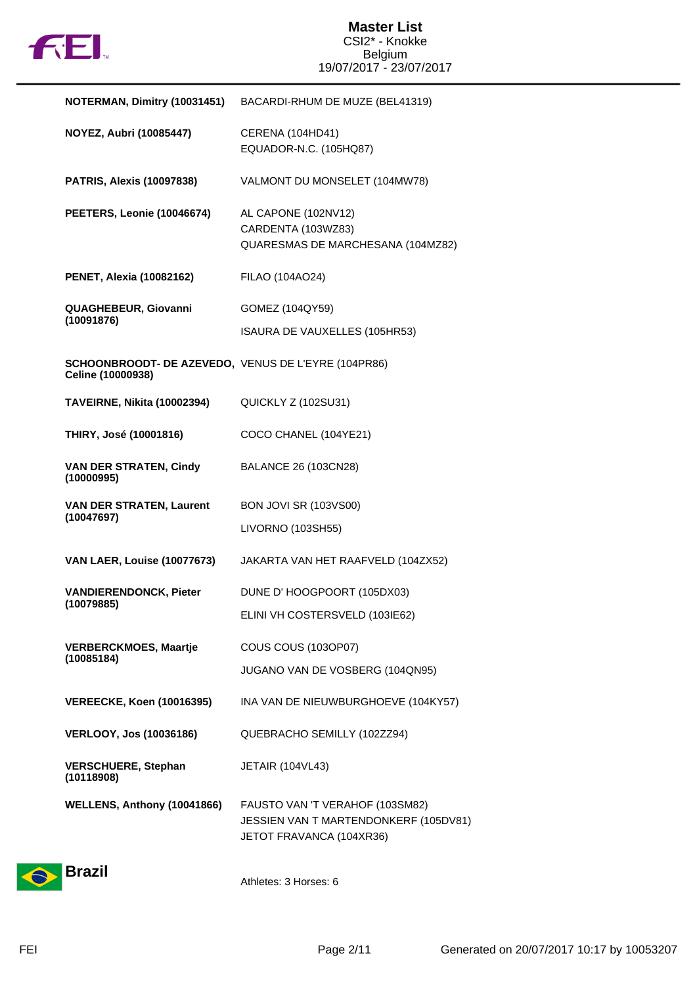

| NOTERMAN, Dimitry (10031451)                                             | BACARDI-RHUM DE MUZE (BEL41319)                                                                      |
|--------------------------------------------------------------------------|------------------------------------------------------------------------------------------------------|
| <b>NOYEZ, Aubri (10085447)</b>                                           | CERENA (104HD41)<br>EQUADOR-N.C. (105HQ87)                                                           |
| <b>PATRIS, Alexis (10097838)</b>                                         | VALMONT DU MONSELET (104MW78)                                                                        |
| PEETERS, Leonie (10046674)                                               | AL CAPONE (102NV12)<br>CARDENTA (103WZ83)<br>QUARESMAS DE MARCHESANA (104MZ82)                       |
| <b>PENET, Alexia (10082162)</b>                                          | FILAO (104AO24)                                                                                      |
| <b>QUAGHEBEUR, Giovanni</b><br>(10091876)                                | GOMEZ (104QY59)                                                                                      |
|                                                                          | ISAURA DE VAUXELLES (105HR53)                                                                        |
| SCHOONBROODT- DE AZEVEDO, VENUS DE L'EYRE (104PR86)<br>Celine (10000938) |                                                                                                      |
| <b>TAVEIRNE, Nikita (10002394)</b>                                       | QUICKLY Z (102SU31)                                                                                  |
| THIRY, José (10001816)                                                   | COCO CHANEL (104YE21)                                                                                |
| <b>VAN DER STRATEN, Cindy</b><br>(10000995)                              | BALANCE 26 (103CN28)                                                                                 |
| <b>VAN DER STRATEN, Laurent</b><br>(10047697)                            | <b>BON JOVI SR (103VS00)</b>                                                                         |
|                                                                          | LIVORNO (103SH55)                                                                                    |
| <b>VAN LAER, Louise (10077673)</b>                                       | JAKARTA VAN HET RAAFVELD (104ZX52)                                                                   |
| <b>VANDIERENDONCK, Pieter</b><br>(10079885)                              | DUNE D' HOOGPOORT (105DX03)                                                                          |
|                                                                          | ELINI VH COSTERSVELD (103IE62)                                                                       |
| <b>VERBERCKMOES, Maartje</b>                                             | COUS COUS (103OP07)                                                                                  |
| (10085184)                                                               | JUGANO VAN DE VOSBERG (104QN95)                                                                      |
| <b>VEREECKE, Koen (10016395)</b>                                         | INA VAN DE NIEUWBURGHOEVE (104KY57)                                                                  |
| <b>VERLOOY, Jos (10036186)</b>                                           | QUEBRACHO SEMILLY (102ZZ94)                                                                          |
| <b>VERSCHUERE, Stephan</b><br>(10118908)                                 | JETAIR (104VL43)                                                                                     |
| WELLENS, Anthony (10041866)                                              | FAUSTO VAN 'T VERAHOF (103SM82)<br>JESSIEN VAN T MARTENDONKERF (105DV81)<br>JETOT FRAVANCA (104XR36) |



Athletes: 3 Horses: 6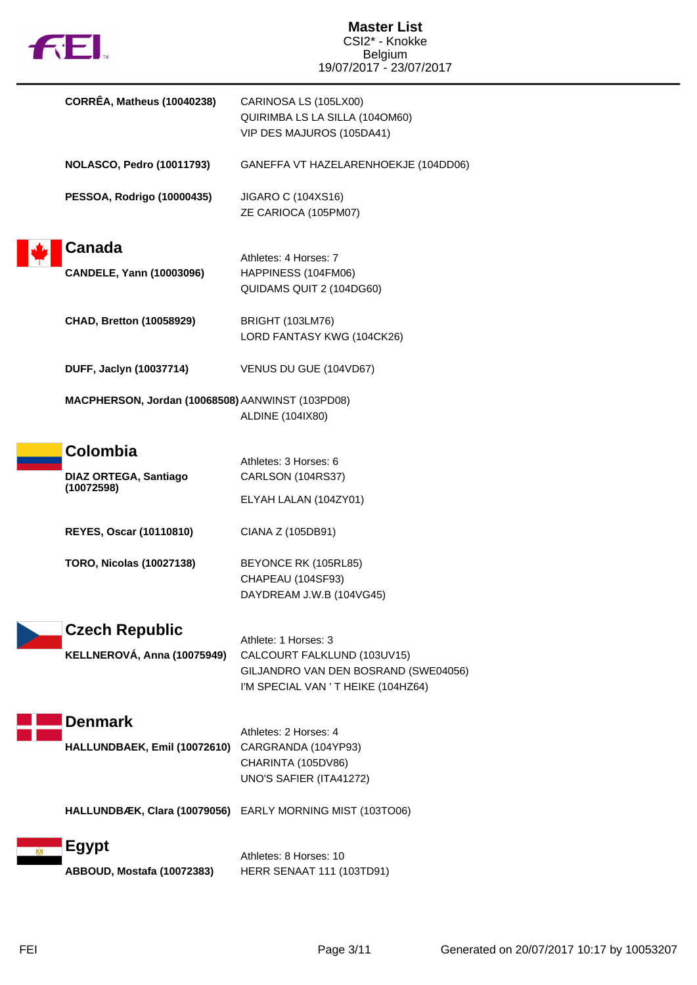| <b>FEI</b>                                             | <b>Master List</b><br>CSI2* - Knokke<br><b>Belgium</b><br>19/07/2017 - 23/07/2017                                                  |
|--------------------------------------------------------|------------------------------------------------------------------------------------------------------------------------------------|
| <b>CORRÊA, Matheus (10040238)</b>                      | CARINOSA LS (105LX00)<br>QUIRIMBA LS LA SILLA (1040M60)<br>VIP DES MAJUROS (105DA41)                                               |
| <b>NOLASCO, Pedro (10011793)</b>                       | GANEFFA VT HAZELARENHOEKJE (104DD06)                                                                                               |
| <b>PESSOA, Rodrigo (10000435)</b>                      | JIGARO C (104XS16)<br>ZE CARIOCA (105PM07)                                                                                         |
| <b>Canada</b><br><b>CANDELE, Yann (10003096)</b>       | Athletes: 4 Horses: 7<br>HAPPINESS (104FM06)<br>QUIDAMS QUIT 2 (104DG60)                                                           |
| <b>CHAD, Bretton (10058929)</b>                        | <b>BRIGHT (103LM76)</b><br>LORD FANTASY KWG (104CK26)                                                                              |
| DUFF, Jaclyn (10037714)                                | VENUS DU GUE (104VD67)                                                                                                             |
| MACPHERSON, Jordan (10068508) AANWINST (103PD08)       | ALDINE (104IX80)                                                                                                                   |
| Colombia<br><b>DIAZ ORTEGA, Santiago</b><br>(10072598) | Athletes: 3 Horses: 6<br>CARLSON (104RS37)<br>ELYAH LALAN (104ZY01)                                                                |
| <b>REYES, Oscar (10110810)</b>                         | CIANA Z (105DB91)                                                                                                                  |
| <b>TORO, Nicolas (10027138)</b>                        | BEYONCE RK (105RL85)<br>CHAPEAU (104SF93)<br>DAYDREAM J.W.B (104VG45)                                                              |
| <b>Czech Republic</b><br>KELLNEROVÁ, Anna (10075949)   | Athlete: 1 Horses: 3<br>CALCOURT FALKLUND (103UV15)<br>GILJANDRO VAN DEN BOSRAND (SWE04056)<br>I'M SPECIAL VAN ' T HEIKE (104HZ64) |
| <b>Denmark</b><br>HALLUNDBAEK, Emil (10072610)         | Athletes: 2 Horses: 4<br>CARGRANDA (104YP93)<br>CHARINTA (105DV86)<br>UNO'S SAFIER (ITA41272)                                      |
|                                                        | HALLUNDBÆK, Clara (10079056) EARLY MORNING MIST (103TO06)                                                                          |
| <b>Egypt</b><br>ABBOUD, Mostafa (10072383)             | Athletes: 8 Horses: 10<br><b>HERR SENAAT 111 (103TD91)</b>                                                                         |

г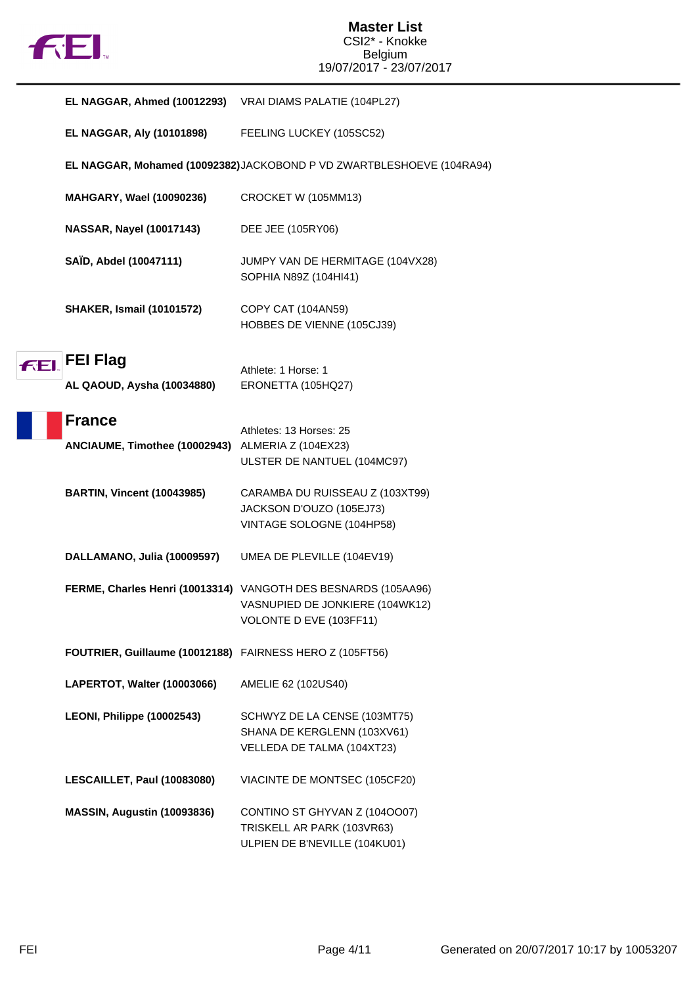

|     | EL NAGGAR, Ahmed (10012293) VRAI DIAMS PALATIE (104PL27)           |                                                                                                                              |
|-----|--------------------------------------------------------------------|------------------------------------------------------------------------------------------------------------------------------|
|     | <b>EL NAGGAR, Aly (10101898)</b>                                   | FEELING LUCKEY (105SC52)                                                                                                     |
|     |                                                                    | EL NAGGAR, Mohamed (10092382)JACKOBOND P VD ZWARTBLESHOEVE (104RA94)                                                         |
|     | MAHGARY, Wael (10090236)                                           | CROCKET W (105MM13)                                                                                                          |
|     | <b>NASSAR, Nayel (10017143)</b>                                    | DEE JEE (105RY06)                                                                                                            |
|     | SAÏD, Abdel (10047111)                                             | JUMPY VAN DE HERMITAGE (104VX28)<br>SOPHIA N89Z (104HI41)                                                                    |
|     | <b>SHAKER, Ismail (10101572)</b>                                   | COPY CAT (104AN59)<br>HOBBES DE VIENNE (105CJ39)                                                                             |
| FEI | <b>FEI Flag</b><br>AL QAOUD, Aysha (10034880)                      | Athlete: 1 Horse: 1<br>ERONETTA (105HQ27)                                                                                    |
|     | <b>France</b><br>ANCIAUME, Timothee (10002943) ALMERIA Z (104EX23) | Athletes: 13 Horses: 25<br>ULSTER DE NANTUEL (104MC97)                                                                       |
|     | <b>BARTIN, Vincent (10043985)</b>                                  | CARAMBA DU RUISSEAU Z (103XT99)<br>JACKSON D'OUZO (105EJ73)<br>VINTAGE SOLOGNE (104HP58)                                     |
|     | DALLAMANO, Julia (10009597)                                        | UMEA DE PLEVILLE (104EV19)                                                                                                   |
|     |                                                                    | FERME, Charles Henri (10013314) VANGOTH DES BESNARDS (105AA96)<br>VASNUPIED DE JONKIERE (104WK12)<br>VOLONTE D EVE (103FF11) |
|     | FOUTRIER, Guillaume (10012188) FAIRNESS HERO Z (105FT56)           |                                                                                                                              |
|     | LAPERTOT, Walter (10003066)                                        | AMELIE 62 (102US40)                                                                                                          |
|     | LEONI, Philippe (10002543)                                         | SCHWYZ DE LA CENSE (103MT75)<br>SHANA DE KERGLENN (103XV61)<br>VELLEDA DE TALMA (104XT23)                                    |
|     | LESCAILLET, Paul (10083080)                                        | VIACINTE DE MONTSEC (105CF20)                                                                                                |
|     | MASSIN, Augustin (10093836)                                        | CONTINO ST GHYVAN Z (1040007)<br>TRISKELL AR PARK (103VR63)                                                                  |

ULPIEN DE B'NEVILLE (104KU01)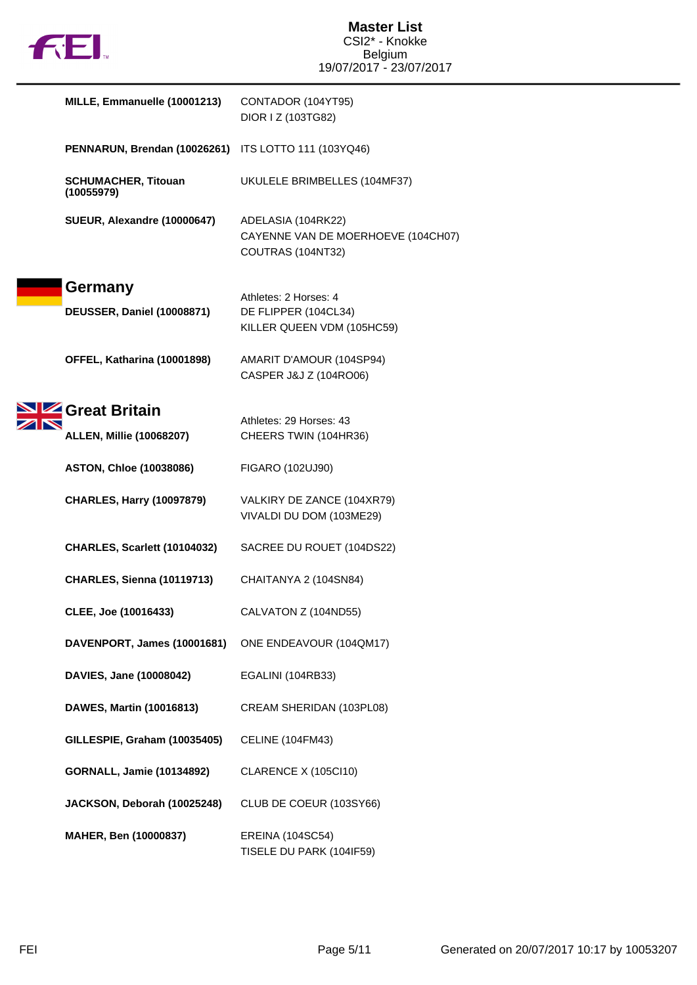

| MILLE, Emmanuelle (10001213)             | CONTADOR (104YT95)<br>DIOR I Z (103TG82)                                      |
|------------------------------------------|-------------------------------------------------------------------------------|
| PENNARUN, Brendan (10026261)             | ITS LOTTO 111 (103YQ46)                                                       |
| <b>SCHUMACHER, Titouan</b><br>(10055979) | UKULELE BRIMBELLES (104MF37)                                                  |
| SUEUR, Alexandre (10000647)              | ADELASIA (104RK22)<br>CAYENNE VAN DE MOERHOEVE (104CH07)<br>COUTRAS (104NT32) |
| Germany                                  | Athletes: 2 Horses: 4                                                         |
| <b>DEUSSER, Daniel (10008871)</b>        | DE FLIPPER (104CL34)<br>KILLER QUEEN VDM (105HC59)                            |
| OFFEL, Katharina (10001898)              | AMARIT D'AMOUR (104SP94)<br>CASPER J&J Z (104RO06)                            |
| Great Britain                            | Athletes: 29 Horses: 43                                                       |
| <b>ALLEN, Millie (10068207)</b>          | CHEERS TWIN (104HR36)                                                         |
| <b>ASTON, Chloe (10038086)</b>           | FIGARO (102UJ90)                                                              |
| <b>CHARLES, Harry (10097879)</b>         | VALKIRY DE ZANCE (104XR79)<br>VIVALDI DU DOM (103ME29)                        |
| CHARLES, Scarlett (10104032)             | SACREE DU ROUET (104DS22)                                                     |
| <b>CHARLES, Sienna (10119713)</b>        | CHAITANYA 2 (104SN84)                                                         |
| CLEE, Joe (10016433)                     | CALVATON Z (104ND55)                                                          |
| DAVENPORT, James (10001681)              | ONE ENDEAVOUR (104QM17)                                                       |
| DAVIES, Jane (10008042)                  | EGALINI (104RB33)                                                             |
| DAWES, Martin (10016813)                 | CREAM SHERIDAN (103PL08)                                                      |
| GILLESPIE, Graham (10035405)             | CELINE (104FM43)                                                              |
| <b>GORNALL, Jamie (10134892)</b>         | CLARENCE X (105Cl10)                                                          |
| JACKSON, Deborah (10025248)              | CLUB DE COEUR (103SY66)                                                       |
| MAHER, Ben (10000837)                    | <b>EREINA (104SC54)</b><br>TISELE DU PARK (104IF59)                           |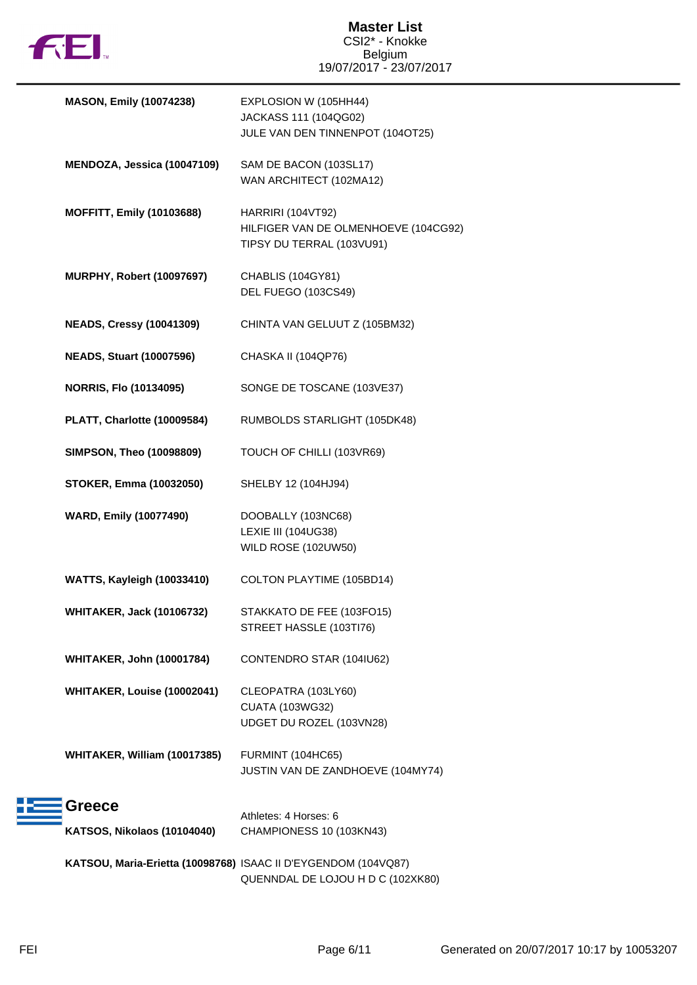

| <b>MASON, Emily (10074238)</b>                                 | EXPLOSION W (105HH44)<br>JACKASS 111 (104QG02)<br>JULE VAN DEN TINNENPOT (104OT25)     |
|----------------------------------------------------------------|----------------------------------------------------------------------------------------|
| MENDOZA, Jessica (10047109)                                    | SAM DE BACON (103SL17)<br>WAN ARCHITECT (102MA12)                                      |
| <b>MOFFITT, Emily (10103688)</b>                               | HARRIRI (104VT92)<br>HILFIGER VAN DE OLMENHOEVE (104CG92)<br>TIPSY DU TERRAL (103VU91) |
| <b>MURPHY, Robert (10097697)</b>                               | CHABLIS (104GY81)<br>DEL FUEGO (103CS49)                                               |
| <b>NEADS, Cressy (10041309)</b>                                | CHINTA VAN GELUUT Z (105BM32)                                                          |
| <b>NEADS, Stuart (10007596)</b>                                | CHASKA II (104QP76)                                                                    |
| <b>NORRIS, Flo (10134095)</b>                                  | SONGE DE TOSCANE (103VE37)                                                             |
| PLATT, Charlotte (10009584)                                    | RUMBOLDS STARLIGHT (105DK48)                                                           |
| <b>SIMPSON, Theo (10098809)</b>                                | TOUCH OF CHILLI (103VR69)                                                              |
| <b>STOKER, Emma (10032050)</b>                                 | SHELBY 12 (104HJ94)                                                                    |
| <b>WARD, Emily (10077490)</b>                                  | DOOBALLY (103NC68)<br>LEXIE III (104UG38)<br><b>WILD ROSE (102UW50)</b>                |
| WATTS, Kayleigh (10033410)                                     | COLTON PLAYTIME (105BD14)                                                              |
| <b>WHITAKER, Jack (10106732)</b>                               | STAKKATO DE FEE (103FO15)<br>STREET HASSLE (103TI76)                                   |
| <b>WHITAKER, John (10001784)</b>                               | CONTENDRO STAR (104IU62)                                                               |
| WHITAKER, Louise (10002041)                                    | CLEOPATRA (103LY60)<br><b>CUATA (103WG32)</b><br>UDGET DU ROZEL (103VN28)              |
| WHITAKER, William (10017385)                                   | FURMINT (104HC65)<br>JUSTIN VAN DE ZANDHOEVE (104MY74)                                 |
| Greece                                                         | Athletes: 4 Horses: 6                                                                  |
| KATSOS, Nikolaos (10104040)                                    | CHAMPIONESS 10 (103KN43)                                                               |
| KATSOU, Maria-Erietta (10098768) ISAAC II D'EYGENDOM (104VQ87) | QUENNDAL DE LOJOU H D C (102XK80)                                                      |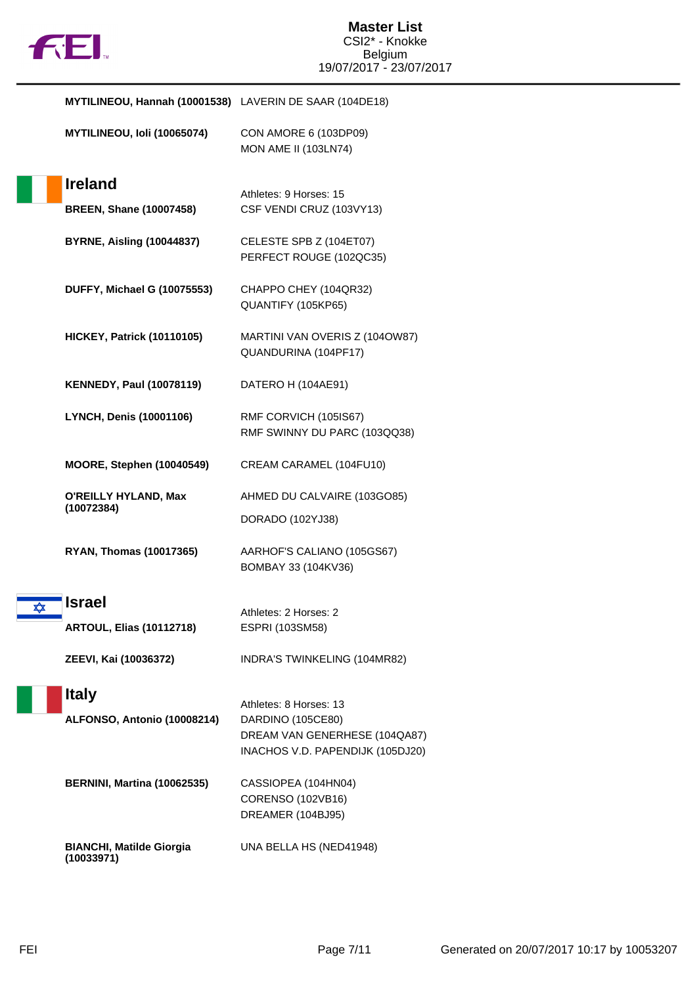

**MYTILINEOU, Hannah (10001538)** LAVERIN DE SAAR (104DE18)

| <b>MYTILINEOU, Ioli (10065074)</b> | CON AMORE 6 (103DP09)       |
|------------------------------------|-----------------------------|
|                                    | <b>MON AME II (103LN74)</b> |

|                         | <b>Ireland</b>                              | Athletes: 9 Horses: 15                                                                                           |
|-------------------------|---------------------------------------------|------------------------------------------------------------------------------------------------------------------|
|                         | <b>BREEN, Shane (10007458)</b>              | CSF VENDI CRUZ (103VY13)                                                                                         |
|                         | <b>BYRNE, Aisling (10044837)</b>            | CELESTE SPB Z (104ET07)<br>PERFECT ROUGE (102QC35)                                                               |
|                         | <b>DUFFY, Michael G (10075553)</b>          | CHAPPO CHEY (104QR32)<br>QUANTIFY (105KP65)                                                                      |
|                         | <b>HICKEY, Patrick (10110105)</b>           | MARTINI VAN OVERIS Z (1040W87)<br>QUANDURINA (104PF17)                                                           |
|                         | <b>KENNEDY, Paul (10078119)</b>             | DATERO H (104AE91)                                                                                               |
|                         | <b>LYNCH, Denis (10001106)</b>              | RMF CORVICH (105IS67)<br>RMF SWINNY DU PARC (103QQ38)                                                            |
|                         | <b>MOORE, Stephen (10040549)</b>            | CREAM CARAMEL (104FU10)                                                                                          |
|                         | <b>O'REILLY HYLAND, Max</b><br>(10072384)   | AHMED DU CALVAIRE (103GO85)<br>DORADO (102YJ38)                                                                  |
|                         | <b>RYAN, Thomas (10017365)</b>              | AARHOF'S CALIANO (105GS67)<br>BOMBAY 33 (104KV36)                                                                |
| $\overline{\mathbf{x}}$ | <b>Israel</b>                               | Athletes: 2 Horses: 2                                                                                            |
|                         | <b>ARTOUL, Elias (10112718)</b>             | ESPRI (103SM58)                                                                                                  |
|                         | ZEEVI, Kai (10036372)                       | INDRA'S TWINKELING (104MR82)                                                                                     |
|                         | <b>Italy</b><br>ALFONSO, Antonio (10008214) | Athletes: 8 Horses: 13<br>DARDINO (105CE80)<br>DREAM VAN GENERHESE (104QA87)<br>INACHOS V.D. PAPENDIJK (105DJ20) |
|                         | <b>BERNINI, Martina (10062535)</b>          | CASSIOPEA (104HN04)<br>CORENSO (102VB16)<br>DREAMER (104BJ95)                                                    |
|                         | <b>BIANCHI, Matilde Giorgia</b>             | UNA BELLA HS (NED41948)                                                                                          |

**(10033971)**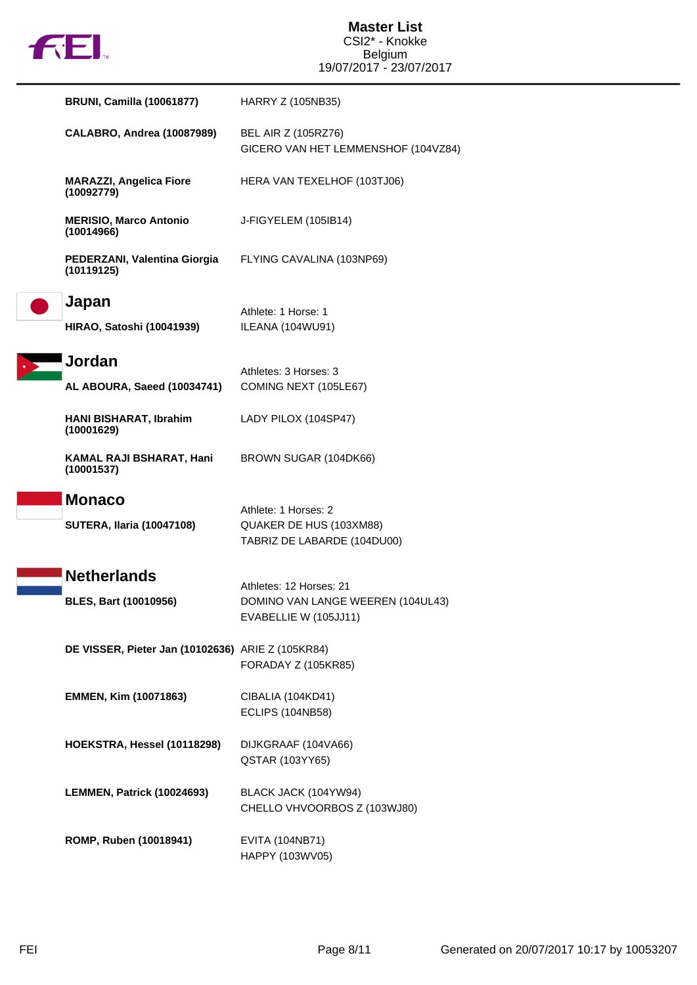|  | U |
|--|---|
|  |   |

| <b>BRUNI, Camilla (10061877)</b>                  | HARRY Z (105NB35)                                                              |
|---------------------------------------------------|--------------------------------------------------------------------------------|
| <b>CALABRO, Andrea (10087989)</b>                 | BEL AIR Z (105RZ76)<br>GICERO VAN HET LEMMENSHOF (104VZ84)                     |
| <b>MARAZZI, Angelica Fiore</b><br>(10092779)      | HERA VAN TEXELHOF (103TJ06)                                                    |
| <b>MERISIO, Marco Antonio</b><br>(10014966)       | J-FIGYELEM (105IB14)                                                           |
| PEDERZANI, Valentina Giorgia<br>(10119125)        | FLYING CAVALINA (103NP69)                                                      |
| Japan                                             | Athlete: 1 Horse: 1                                                            |
| <b>HIRAO, Satoshi (10041939)</b>                  | ILEANA (104WU91)                                                               |
| <b>Jordan</b>                                     | Athletes: 3 Horses: 3                                                          |
| AL ABOURA, Saeed (10034741)                       | COMING NEXT (105LE67)                                                          |
| HANI BISHARAT, Ibrahim<br>(10001629)              | LADY PILOX (104SP47)                                                           |
| KAMAL RAJI BSHARAT, Hani<br>(10001537)            | BROWN SUGAR (104DK66)                                                          |
| <b>Monaco</b><br><b>SUTERA, Ilaria (10047108)</b> | Athlete: 1 Horses: 2<br>QUAKER DE HUS (103XM88)<br>TABRIZ DE LABARDE (104DU00) |
| <b>Netherlands</b>                                | Athletes: 12 Horses: 21                                                        |
| <b>BLES, Bart (10010956)</b>                      | DOMINO VAN LANGE WEEREN (104UL43)<br>EVABELLIE W (105JJ11)                     |
| DE VISSER, Pieter Jan (10102636) ARIE Z (105KR84) | FORADAY Z (105KR85)                                                            |
| <b>EMMEN, Kim (10071863)</b>                      | CIBALIA (104KD41)<br><b>ECLIPS (104NB58)</b>                                   |
| HOEKSTRA, Hessel (10118298)                       | DIJKGRAAF (104VA66)<br>QSTAR (103YY65)                                         |
| LEMMEN, Patrick (10024693)                        | BLACK JACK (104YW94)<br>CHELLO VHVOORBOS Z (103WJ80)                           |
| ROMP, Ruben (10018941)                            | <b>EVITA (104NB71)</b><br>HAPPY (103WV05)                                      |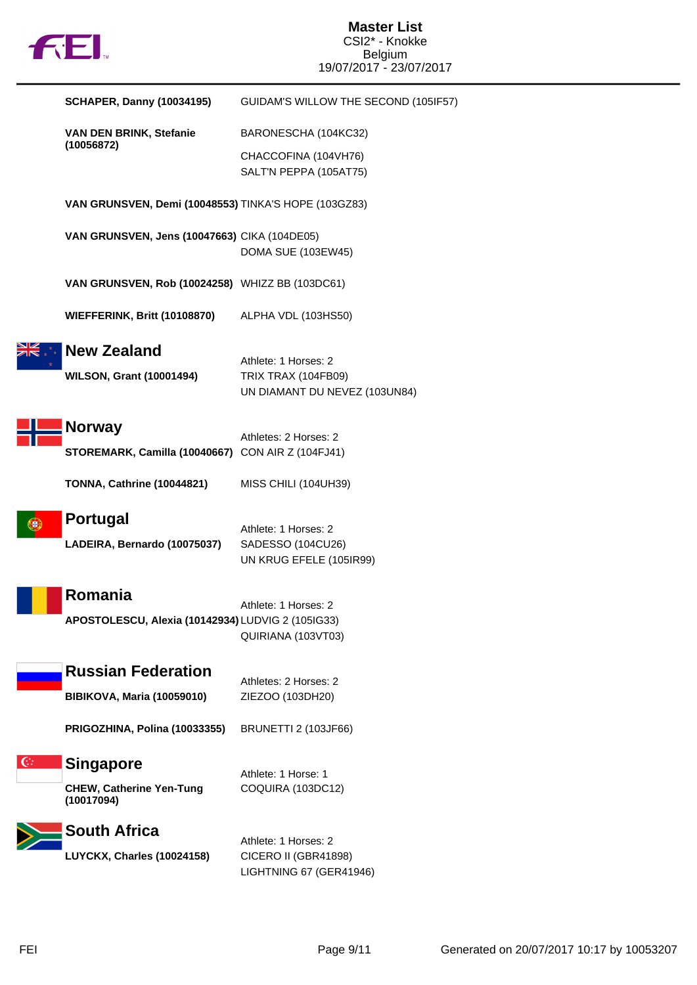

|              | <b>SCHAPER, Danny (10034195)</b>                     | GUIDAM'S WILLOW THE SECOND (105IF57)                 |
|--------------|------------------------------------------------------|------------------------------------------------------|
|              | VAN DEN BRINK, Stefanie<br>(10056872)                | BARONESCHA (104KC32)                                 |
|              |                                                      | CHACCOFINA (104VH76)                                 |
|              |                                                      | SALT'N PEPPA (105AT75)                               |
|              | VAN GRUNSVEN, Demi (10048553) TINKA'S HOPE (103GZ83) |                                                      |
|              | VAN GRUNSVEN, Jens (10047663) CIKA (104DE05)         |                                                      |
|              |                                                      | DOMA SUE (103EW45)                                   |
|              | VAN GRUNSVEN, Rob (10024258) WHIZZ BB (103DC61)      |                                                      |
|              | <b>WIEFFERINK, Britt (10108870)</b>                  | ALPHA VDL (103HS50)                                  |
|              | <b>New Zealand</b>                                   |                                                      |
|              |                                                      | Athlete: 1 Horses: 2                                 |
|              | <b>WILSON, Grant (10001494)</b>                      | TRIX TRAX (104FB09)<br>UN DIAMANT DU NEVEZ (103UN84) |
|              |                                                      |                                                      |
|              | <b>Norway</b>                                        | Athletes: 2 Horses: 2                                |
|              | STOREMARK, Camilla (10040667) CON AIR Z (104FJ41)    |                                                      |
|              | <b>TONNA, Cathrine (10044821)</b>                    | MISS CHILI (104UH39)                                 |
|              | Portugal                                             |                                                      |
|              | LADEIRA, Bernardo (10075037)                         | Athlete: 1 Horses: 2<br>SADESSO (104CU26)            |
|              |                                                      | UN KRUG EFELE (105IR99)                              |
|              |                                                      |                                                      |
|              | Romania                                              | Athlete: 1 Horses: 2                                 |
|              | APOSTOLESCU, Alexia (10142934) LUDVIG 2 (105IG33)    |                                                      |
|              |                                                      | QUIRIANA (103VT03)                                   |
|              | <b>Russian Federation</b>                            | Athletes: 2 Horses: 2                                |
|              | <b>BIBIKOVA, Maria (10059010)</b>                    | ZIEZOO (103DH20)                                     |
|              |                                                      |                                                      |
|              | PRIGOZHINA, Polina (10033355)                        | <b>BRUNETTI 2 (103JF66)</b>                          |
| $\mathbb{G}$ | <b>Singapore</b>                                     |                                                      |
|              | <b>CHEW, Catherine Yen-Tung</b>                      | Athlete: 1 Horse: 1<br>COQUIRA (103DC12)             |
|              | (10017094)                                           |                                                      |
|              | <b>South Africa</b>                                  | Athlete: 1 Horses: 2                                 |
|              | LUYCKX, Charles (10024158)                           | CICERO II (GBR41898)                                 |
|              |                                                      | LIGHTNING 67 (GER41946)                              |
|              |                                                      |                                                      |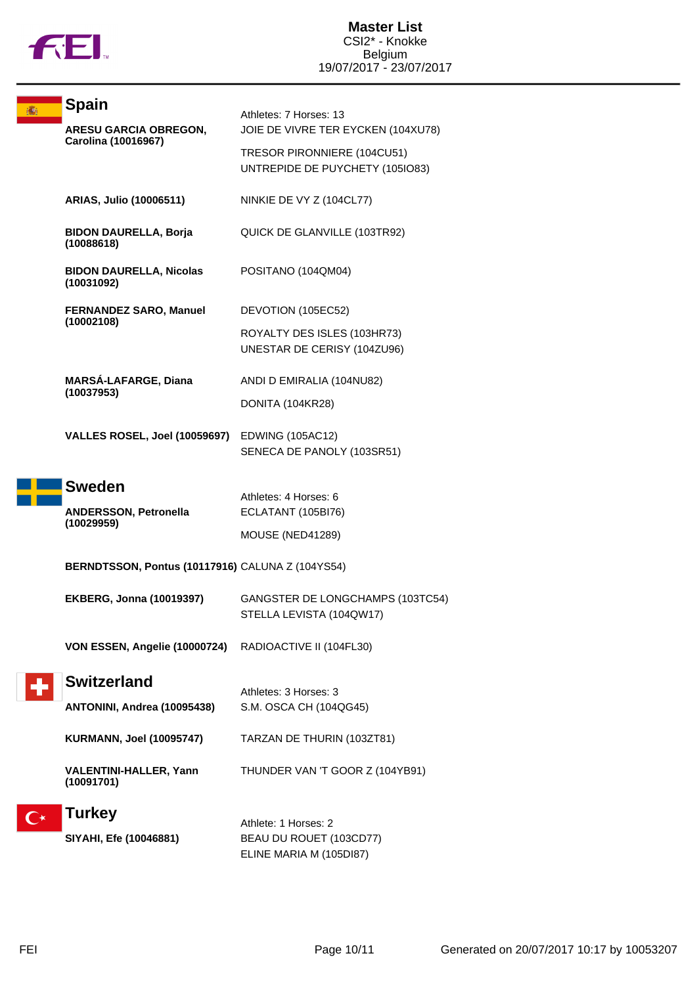

|  | <b>Spain</b>                                        | Athletes: 7 Horses: 13                                         |
|--|-----------------------------------------------------|----------------------------------------------------------------|
|  | <b>ARESU GARCIA OBREGON,</b><br>Carolina (10016967) | JOIE DE VIVRE TER EYCKEN (104XU78)                             |
|  |                                                     | TRESOR PIRONNIERE (104CU51)<br>UNTREPIDE DE PUYCHETY (105IO83) |
|  | ARIAS, Julio (10006511)                             | NINKIE DE VY Z (104CL77)                                       |
|  | <b>BIDON DAURELLA, Borja</b><br>(10088618)          | QUICK DE GLANVILLE (103TR92)                                   |
|  | <b>BIDON DAURELLA, Nicolas</b><br>(10031092)        | POSITANO (104QM04)                                             |
|  | <b>FERNANDEZ SARO, Manuel</b><br>(10002108)         | DEVOTION (105EC52)                                             |
|  |                                                     | ROYALTY DES ISLES (103HR73)<br>UNESTAR DE CERISY (104ZU96)     |
|  | <b>MARSÁ-LAFARGE, Diana</b><br>(10037953)           | ANDI D EMIRALIA (104NU82)                                      |
|  |                                                     | DONITA (104KR28)                                               |
|  | VALLES ROSEL, Joel (10059697) EDWING (105AC12)      | SENECA DE PANOLY (103SR51)                                     |
|  | <b>Sweden</b>                                       | Athletes: 4 Horses: 6                                          |
|  | <b>ANDERSSON, Petronella</b>                        | ECLATANT (105BI76)                                             |
|  | (10029959)                                          | <b>MOUSE (NED41289)</b>                                        |
|  | BERNDTSSON, Pontus (10117916) CALUNA Z (104YS54)    |                                                                |
|  | <b>EKBERG, Jonna (10019397)</b>                     | GANGSTER DE LONGCHAMPS (103TC54)<br>STELLA LEVISTA (104QW17)   |
|  | VON ESSEN, Angelie (10000724)                       | RADIOACTIVE II (104FL30)                                       |
|  | <b>Switzerland</b>                                  | Athletes: 3 Horses: 3                                          |
|  | ANTONINI, Andrea (10095438)                         | S.M. OSCA CH (104QG45)                                         |
|  | <b>KURMANN, Joel (10095747)</b>                     | TARZAN DE THURIN (103ZT81)                                     |
|  | <b>VALENTINI-HALLER, Yann</b><br>(10091701)         | THUNDER VAN 'T GOOR Z (104YB91)                                |
|  | <b>Turkey</b>                                       | Athlete: 1 Horses: 2                                           |
|  | SIYAHI, Efe (10046881)                              | BEAU DU ROUET (103CD77)                                        |
|  |                                                     | ELINE MARIA M (105DI87)                                        |
|  |                                                     |                                                                |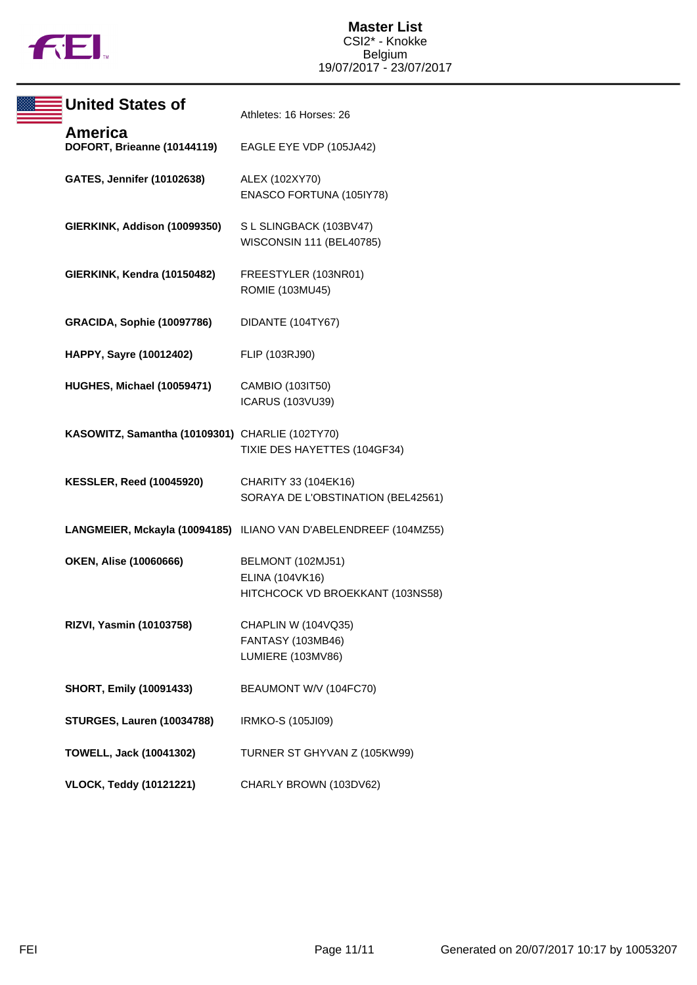

| <b>United States of</b>                         | Athletes: 16 Horses: 26                                                  |
|-------------------------------------------------|--------------------------------------------------------------------------|
| America<br>DOFORT, Brieanne (10144119)          | EAGLE EYE VDP (105JA42)                                                  |
| GATES, Jennifer (10102638)                      | ALEX (102XY70)<br>ENASCO FORTUNA (105IY78)                               |
| GIERKINK, Addison (10099350)                    | S L SLINGBACK (103BV47)<br>WISCONSIN 111 (BEL40785)                      |
| GIERKINK, Kendra (10150482)                     | FREESTYLER (103NR01)<br>ROMIE (103MU45)                                  |
| <b>GRACIDA, Sophie (10097786)</b>               | DIDANTE (104TY67)                                                        |
| HAPPY, Sayre (10012402)                         | FLIP (103RJ90)                                                           |
| HUGHES, Michael (10059471)                      | CAMBIO (103IT50)<br>ICARUS (103VU39)                                     |
| KASOWITZ, Samantha (10109301) CHARLIE (102TY70) | TIXIE DES HAYETTES (104GF34)                                             |
| <b>KESSLER, Reed (10045920)</b>                 | CHARITY 33 (104EK16)<br>SORAYA DE L'OBSTINATION (BEL42561)               |
|                                                 | LANGMEIER, Mckayla (10094185) ILIANO VAN D'ABELENDREEF (104MZ55)         |
| OKEN, Alise (10060666)                          | BELMONT (102MJ51)<br>ELINA (104VK16)<br>HITCHCOCK VD BROEKKANT (103NS58) |
| RIZVI, Yasmin (10103758)                        | CHAPLIN W (104VQ35)<br>FANTASY (103MB46)<br>LUMIERE (103MV86)            |
| <b>SHORT, Emily (10091433)</b>                  | BEAUMONT W/V (104FC70)                                                   |
| <b>STURGES, Lauren (10034788)</b>               | IRMKO-S (105JI09)                                                        |
| <b>TOWELL, Jack (10041302)</b>                  | TURNER ST GHYVAN Z (105KW99)                                             |
| <b>VLOCK, Teddy (10121221)</b>                  | CHARLY BROWN (103DV62)                                                   |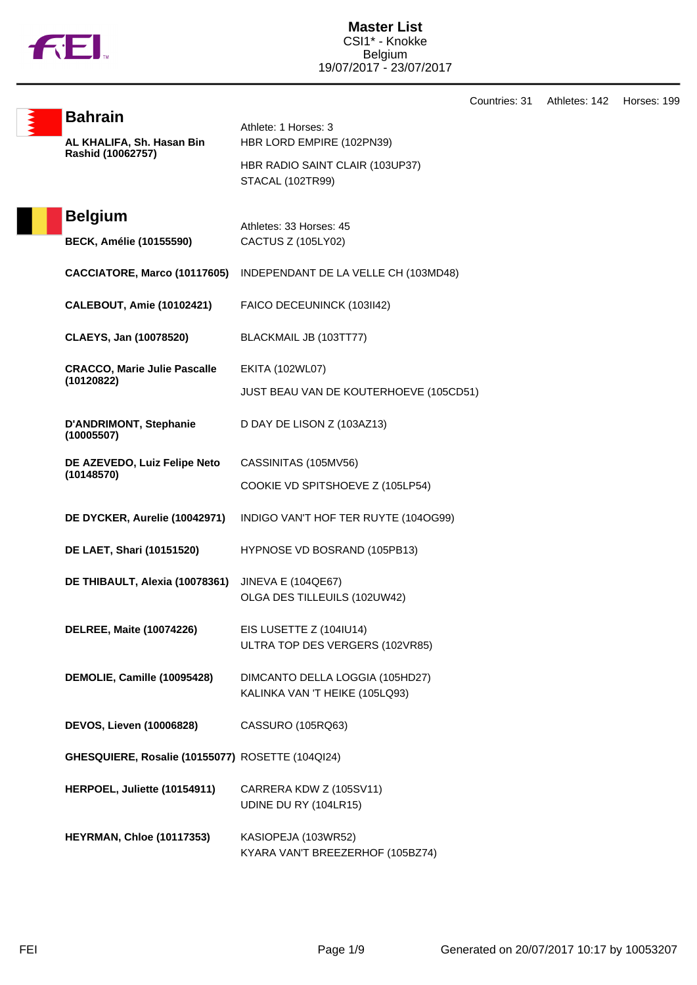

**Bahrain**

Athlete: 1 Horses: 3

**AL KHALIFA, Sh. Hasan Bin Rashid (10062757)** HBR LORD EMPIRE (102PN39) HBR RADIO SAINT CLAIR (103UP37) STACAL (102TR99) **Belgium** Athletes: 33 Horses: 45 **BECK, Amélie (10155590)** CACTUS Z (105LY02) **CACCIATORE, Marco (10117605)** INDEPENDANT DE LA VELLE CH (103MD48) **CALEBOUT, Amie (10102421)** FAICO DECEUNINCK (103II42) **CLAEYS, Jan (10078520)** BLACKMAIL JB (103TT77) **CRACCO, Marie Julie Pascalle (10120822)** EKITA (102WL07) JUST BEAU VAN DE KOUTERHOEVE (105CD51) **D'ANDRIMONT, Stephanie (10005507)** D DAY DE LISON Z (103AZ13) **DE AZEVEDO, Luiz Felipe Neto (10148570)** CASSINITAS (105MV56) COOKIE VD SPITSHOEVE Z (105LP54) **DE DYCKER, Aurelie (10042971)** INDIGO VAN'T HOF TER RUYTE (104OG99) **DE LAET, Shari (10151520)** HYPNOSE VD BOSRAND (105PB13) **DE THIBAULT, Alexia (10078361)** JINEVA E (104QE67) OLGA DES TILLEUILS (102UW42) **DELREE, Maite (10074226)** EIS LUSETTE Z (104IU14) ULTRA TOP DES VERGERS (102VR85) **DEMOLIE, Camille (10095428)** DIMCANTO DELLA LOGGIA (105HD27) KALINKA VAN 'T HEIKE (105LQ93) **DEVOS, Lieven (10006828)** CASSURO (105RQ63) **GHESQUIERE, Rosalie (10155077)** ROSETTE (104QI24) **HERPOEL, Juliette (10154911)** CARRERA KDW Z (105SV11) UDINE DU RY (104LR15) **HEYRMAN, Chloe (10117353)** KASIOPEJA (103WR52) KYARA VAN'T BREEZERHOF (105BZ74)

Countries: 31 Athletes: 142 Horses: 199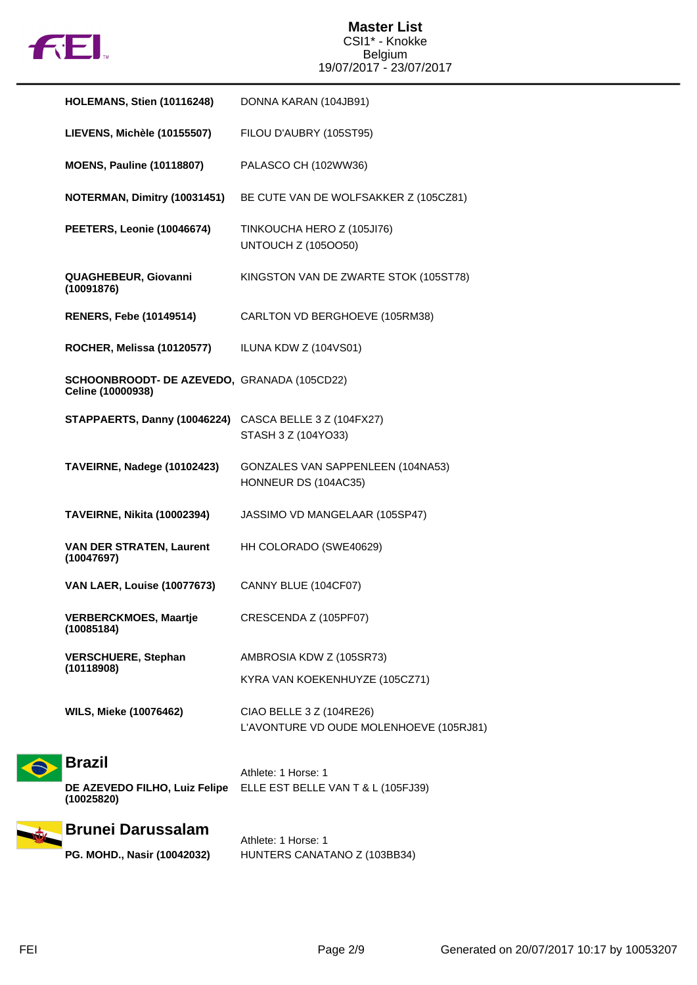

|  | <b>HOLEMANS, Stien (10116248)</b>                                | DONNA KARAN (104JB91)                                               |
|--|------------------------------------------------------------------|---------------------------------------------------------------------|
|  | LIEVENS, Michèle (10155507)                                      | FILOU D'AUBRY (105ST95)                                             |
|  | <b>MOENS, Pauline (10118807)</b>                                 | PALASCO CH (102WW36)                                                |
|  | NOTERMAN, Dimitry (10031451)                                     | BE CUTE VAN DE WOLFSAKKER Z (105CZ81)                               |
|  | PEETERS, Leonie (10046674)                                       | TINKOUCHA HERO Z (105JI76)<br><b>UNTOUCH Z (1050050)</b>            |
|  | QUAGHEBEUR, Giovanni<br>(10091876)                               | KINGSTON VAN DE ZWARTE STOK (105ST78)                               |
|  | <b>RENERS, Febe (10149514)</b>                                   | CARLTON VD BERGHOEVE (105RM38)                                      |
|  | ROCHER, Melissa (10120577)                                       | ILUNA KDW Z (104VS01)                                               |
|  | SCHOONBROODT- DE AZEVEDO, GRANADA (105CD22)<br>Celine (10000938) |                                                                     |
|  | STAPPAERTS, Danny (10046224) CASCA BELLE 3 Z (104FX27)           | STASH 3 Z (104YO33)                                                 |
|  | TAVEIRNE, Nadege (10102423)                                      | GONZALES VAN SAPPENLEEN (104NA53)<br>HONNEUR DS (104AC35)           |
|  | TAVEIRNE, Nikita (10002394)                                      | JASSIMO VD MANGELAAR (105SP47)                                      |
|  | <b>VAN DER STRATEN, Laurent</b><br>(10047697)                    | HH COLORADO (SWE40629)                                              |
|  | <b>VAN LAER, Louise (10077673)</b>                               | CANNY BLUE (104CF07)                                                |
|  | <b>VERBERCKMOES, Maartje</b><br>(10085184)                       | CRESCENDA Z (105PF07)                                               |
|  | <b>VERSCHUERE, Stephan</b><br>(10118908)                         | AMBROSIA KDW Z (105SR73)                                            |
|  |                                                                  | KYRA VAN KOEKENHUYZE (105CZ71)                                      |
|  | <b>WILS, Mieke (10076462)</b>                                    | CIAO BELLE 3 Z (104RE26)<br>L'AVONTURE VD OUDE MOLENHOEVE (105RJ81) |
|  | <b>Brazil</b>                                                    |                                                                     |
|  | DE AZEVEDO FILHO, Luiz Felipe<br>(10025820)                      | Athlete: 1 Horse: 1<br>ELLE EST BELLE VAN T & L (105FJ39)           |
|  | <b>Brunei Darussalam</b>                                         | Athlete: 1 Horse: 1                                                 |
|  | PG. MOHD., Nasir (10042032)                                      | HUNTERS CANATANO Z (103BB34)                                        |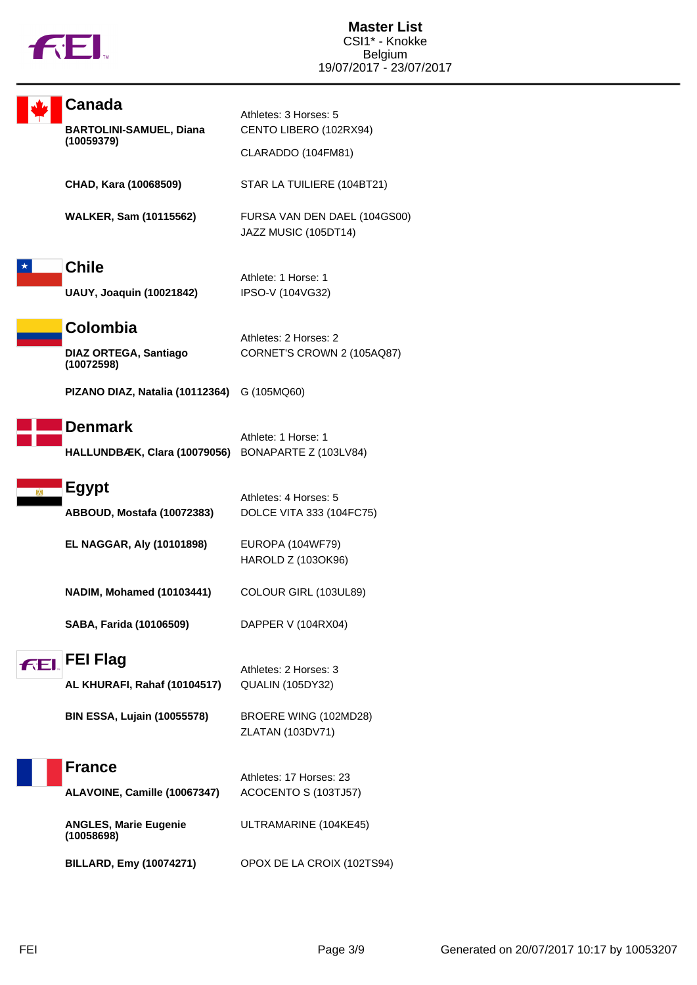

|     | Canada                                       | Athletes: 3 Horses: 5                                |
|-----|----------------------------------------------|------------------------------------------------------|
|     | <b>BARTOLINI-SAMUEL, Diana</b><br>(10059379) | CENTO LIBERO (102RX94)                               |
|     |                                              | CLARADDO (104FM81)                                   |
|     | CHAD, Kara (10068509)                        | STAR LA TUILIERE (104BT21)                           |
|     | <b>WALKER, Sam (10115562)</b>                | FURSA VAN DEN DAEL (104GS00)<br>JAZZ MUSIC (105DT14) |
|     | <b>Chile</b>                                 | Athlete: 1 Horse: 1                                  |
|     | <b>UAUY, Joaquin (10021842)</b>              | IPSO-V (104VG32)                                     |
|     | Colombia                                     | Athletes: 2 Horses: 2                                |
|     | <b>DIAZ ORTEGA, Santiago</b><br>(10072598)   | CORNET'S CROWN 2 (105AQ87)                           |
|     | PIZANO DIAZ, Natalia (10112364) G (105MQ60)  |                                                      |
|     | <b>Denmark</b>                               | Athlete: 1 Horse: 1                                  |
|     | HALLUNDBÆK, Clara (10079056)                 | BONAPARTE Z (103LV84)                                |
| м   | <b>Egypt</b>                                 | Athletes: 4 Horses: 5                                |
|     | ABBOUD, Mostafa (10072383)                   | DOLCE VITA 333 (104FC75)                             |
|     | <b>EL NAGGAR, Aly (10101898)</b>             | EUROPA (104WF79)                                     |
|     |                                              | HAROLD Z (103OK96)                                   |
|     | <b>NADIM, Mohamed (10103441)</b>             | COLOUR GIRL (103UL89)                                |
|     | SABA, Farida (10106509)                      | DAPPER V (104RX04)                                   |
| FEI | <b>FEI Flag</b>                              | Athletes: 2 Horses: 3                                |
|     | AL KHURAFI, Rahaf (10104517)                 | QUALIN (105DY32)                                     |
|     | <b>BIN ESSA, Lujain (10055578)</b>           | BROERE WING (102MD28)<br>ZLATAN (103DV71)            |
|     | <b>France</b>                                |                                                      |
|     |                                              | Athletes: 17 Horses: 23                              |
|     | ALAVOINE, Camille (10067347)                 | ACOCENTO S (103TJ57)                                 |
|     | <b>ANGLES, Marie Eugenie</b><br>(10058698)   | ULTRAMARINE (104KE45)                                |
|     | <b>BILLARD, Emy (10074271)</b>               | OPOX DE LA CROIX (102TS94)                           |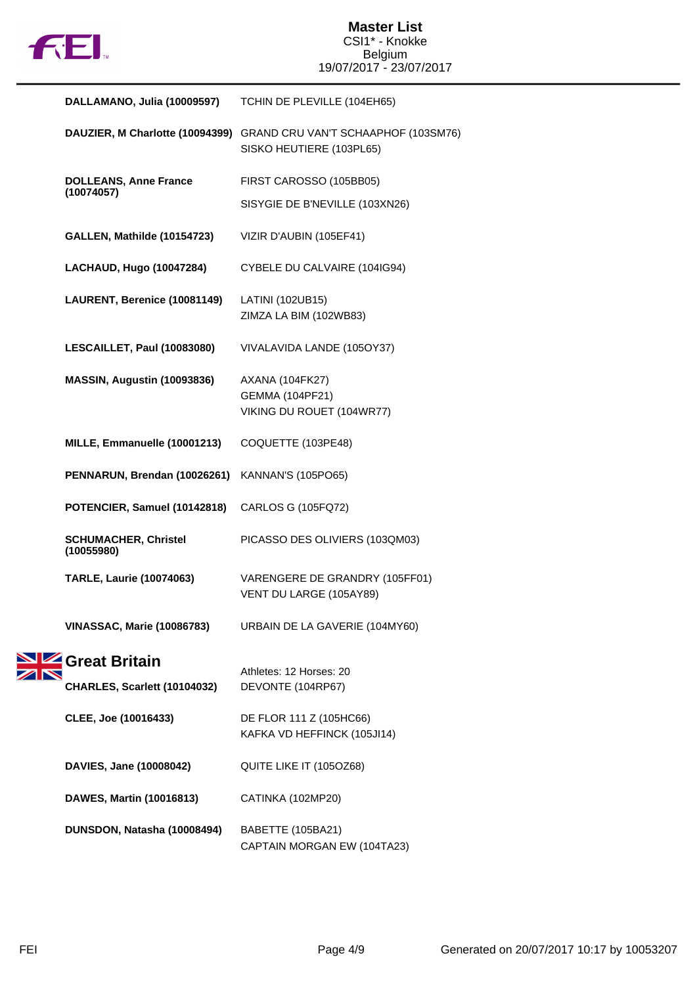

|  | DALLAMANO, Julia (10009597)                | TCHIN DE PLEVILLE (104EH65)                                     |
|--|--------------------------------------------|-----------------------------------------------------------------|
|  | DAUZIER, M Charlotte (10094399)            | GRAND CRU VAN'T SCHAAPHOF (103SM76)<br>SISKO HEUTIERE (103PL65) |
|  | <b>DOLLEANS, Anne France</b><br>(10074057) | FIRST CAROSSO (105BB05)                                         |
|  |                                            | SISYGIE DE B'NEVILLE (103XN26)                                  |
|  | GALLEN, Mathilde (10154723)                | VIZIR D'AUBIN (105EF41)                                         |
|  | LACHAUD, Hugo (10047284)                   | CYBELE DU CALVAIRE (104IG94)                                    |
|  | LAURENT, Berenice (10081149)               | LATINI (102UB15)<br>ZIMZA LA BIM (102WB83)                      |
|  | LESCAILLET, Paul (10083080)                | VIVALAVIDA LANDE (105OY37)                                      |
|  | MASSIN, Augustin (10093836)                | AXANA (104FK27)                                                 |
|  |                                            | <b>GEMMA (104PF21)</b><br>VIKING DU ROUET (104WR77)             |
|  | MILLE, Emmanuelle (10001213)               | COQUETTE (103PE48)                                              |
|  | PENNARUN, Brendan (10026261)               | <b>KANNAN'S (105PO65)</b>                                       |
|  | POTENCIER, Samuel (10142818)               | CARLOS G (105FQ72)                                              |
|  | <b>SCHUMACHER, Christel</b><br>(10055980)  | PICASSO DES OLIVIERS (103QM03)                                  |
|  | <b>TARLE, Laurie (10074063)</b>            | VARENGERE DE GRANDRY (105FF01)<br>VENT DU LARGE (105AY89)       |
|  | <b>VINASSAC, Marie (10086783)</b>          | URBAIN DE LA GAVERIE (104MY60)                                  |
|  | Great Britain                              | Athletes: 12 Horses: 20                                         |
|  | CHARLES, Scarlett (10104032)               | DEVONTE (104RP67)                                               |
|  | CLEE, Joe (10016433)                       | DE FLOR 111 Z (105HC66)                                         |
|  |                                            | KAFKA VD HEFFINCK (105JI14)                                     |
|  | DAVIES, Jane (10008042)                    | QUITE LIKE IT (105OZ68)                                         |
|  | DAWES, Martin (10016813)                   | CATINKA (102MP20)                                               |
|  | DUNSDON, Natasha (10008494)                | BABETTE (105BA21)<br>CAPTAIN MORGAN EW (104TA23)                |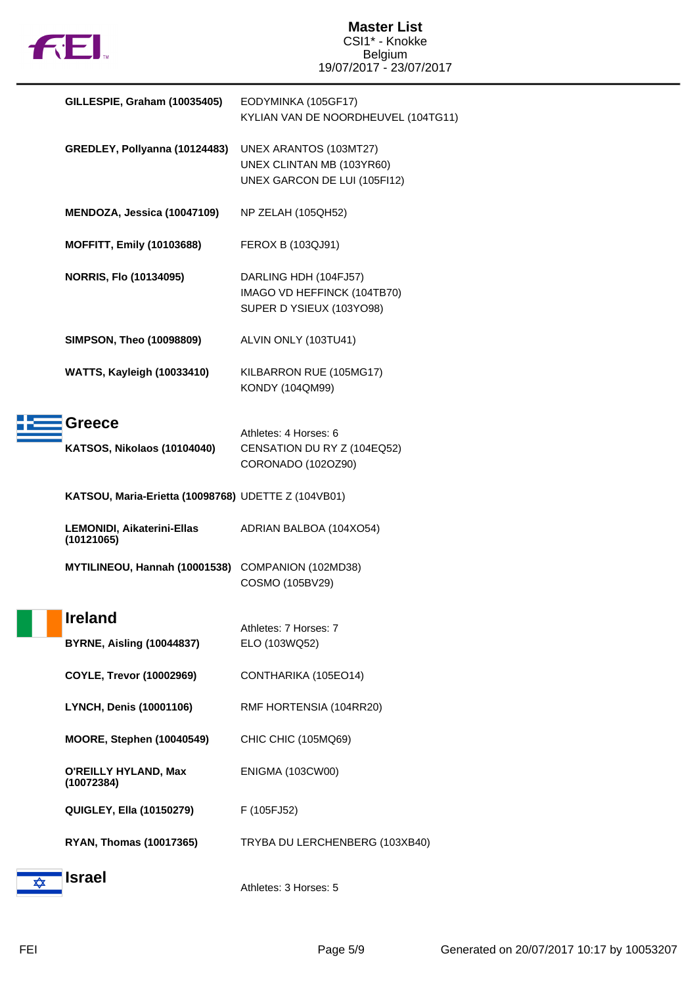

|   | GILLESPIE, Graham (10035405)                        | EODYMINKA (105GF17)<br>KYLIAN VAN DE NOORDHEUVEL (104TG11)                          |
|---|-----------------------------------------------------|-------------------------------------------------------------------------------------|
|   | GREDLEY, Pollyanna (10124483)                       | UNEX ARANTOS (103MT27)<br>UNEX CLINTAN MB (103YR60)<br>UNEX GARCON DE LUI (105FI12) |
|   | MENDOZA, Jessica (10047109)                         | NP ZELAH (105QH52)                                                                  |
|   | <b>MOFFITT, Emily (10103688)</b>                    | FEROX B (103QJ91)                                                                   |
|   | <b>NORRIS, Flo (10134095)</b>                       | DARLING HDH (104FJ57)<br>IMAGO VD HEFFINCK (104TB70)<br>SUPER D YSIEUX (103YO98)    |
|   | <b>SIMPSON, Theo (10098809)</b>                     | ALVIN ONLY (103TU41)                                                                |
|   | <b>WATTS, Kayleigh (10033410)</b>                   | KILBARRON RUE (105MG17)<br>KONDY (104QM99)                                          |
|   | <b>Greece</b><br>KATSOS, Nikolaos (10104040)        | Athletes: 4 Horses: 6<br>CENSATION DU RY Z (104EQ52)<br>CORONADO (102OZ90)          |
|   | KATSOU, Maria-Erietta (10098768) UDETTE Z (104VB01) |                                                                                     |
|   | <b>LEMONIDI, Aikaterini-Ellas</b><br>(10121065)     | ADRIAN BALBOA (104XO54)                                                             |
|   | MYTILINEOU, Hannah (10001538)                       | COMPANION (102MD38)<br>COSMO (105BV29)                                              |
|   | <b>Ireland</b><br><b>BYRNE, Aisling (10044837)</b>  | Athletes: 7 Horses: 7<br>ELO (103WQ52)                                              |
|   | <b>COYLE, Trevor (10002969)</b>                     | CONTHARIKA (105EO14)                                                                |
|   | LYNCH, Denis (10001106)                             | RMF HORTENSIA (104RR20)                                                             |
|   | MOORE, Stephen (10040549)                           | CHIC CHIC (105MQ69)                                                                 |
|   | <b>O'REILLY HYLAND, Max</b><br>(10072384)           | <b>ENIGMA (103CW00)</b>                                                             |
|   | <b>QUIGLEY, Ella (10150279)</b>                     | F (105FJ52)                                                                         |
|   | <b>RYAN, Thomas (10017365)</b>                      | TRYBA DU LERCHENBERG (103XB40)                                                      |
| ✿ | <b>Israel</b>                                       | Athletes: 3 Horses: 5                                                               |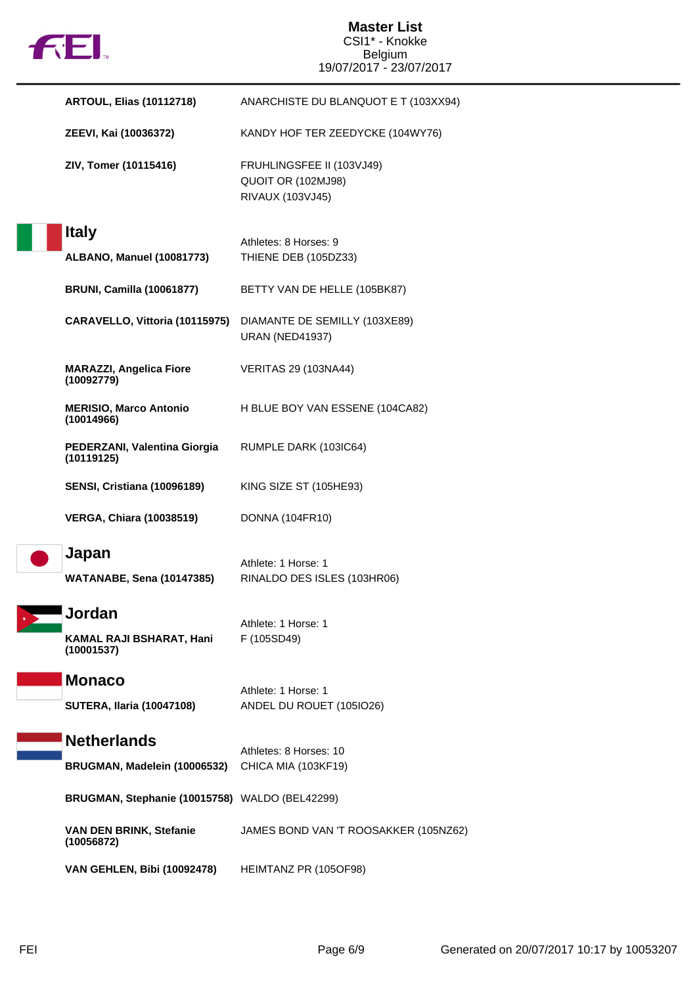

| <b>ARTOUL, Elias (10112718)</b>                    | ANARCHISTE DU BLANQUOT E T (103XX94)                                |
|----------------------------------------------------|---------------------------------------------------------------------|
| ZEEVI, Kai (10036372)                              | KANDY HOF TER ZEEDYCKE (104WY76)                                    |
| ZIV, Tomer (10115416)                              | FRUHLINGSFEE II (103VJ49)<br>QUOIT OR (102MJ98)<br>RIVAUX (103VJ45) |
| <b>Italy</b><br>ALBANO, Manuel (10081773)          | Athletes: 8 Horses: 9<br>THIENE DEB (105DZ33)                       |
| <b>BRUNI, Camilla (10061877)</b>                   | BETTY VAN DE HELLE (105BK87)                                        |
| CARAVELLO, Vittoria (10115975)                     | DIAMANTE DE SEMILLY (103XE89)<br><b>URAN (NED41937)</b>             |
| <b>MARAZZI, Angelica Fiore</b><br>(10092779)       | <b>VERITAS 29 (103NA44)</b>                                         |
| <b>MERISIO, Marco Antonio</b><br>(10014966)        | H BLUE BOY VAN ESSENE (104CA82)                                     |
| PEDERZANI, Valentina Giorgia<br>(10119125)         | RUMPLE DARK (103IC64)                                               |
| <b>SENSI, Cristiana (10096189)</b>                 | KING SIZE ST (105HE93)                                              |
| <b>VERGA, Chiara (10038519)</b>                    | <b>DONNA (104FR10)</b>                                              |
| Japan<br><b>WATANABE, Sena (10147385)</b>          | Athlete: 1 Horse: 1<br>RINALDO DES ISLES (103HR06)                  |
| Jordan<br>KAMAL RAJI BSHARAT, Hani<br>(10001537)   | Athlete: 1 Horse: 1<br>F (105SD49)                                  |
| <b>Monaco</b><br><b>SUTERA, Ilaria (10047108)</b>  | Athlete: 1 Horse: 1<br>ANDEL DU ROUET (105IO26)                     |
| <b>Netherlands</b><br>BRUGMAN, Madelein (10006532) | Athletes: 8 Horses: 10<br>CHICA MIA (103KF19)                       |
| BRUGMAN, Stephanie (10015758) WALDO (BEL42299)     |                                                                     |
| VAN DEN BRINK, Stefanie<br>(10056872)              | JAMES BOND VAN 'T ROOSAKKER (105NZ62)                               |
| <b>VAN GEHLEN, Bibi (10092478)</b>                 | HEIMTANZ PR (105OF98)                                               |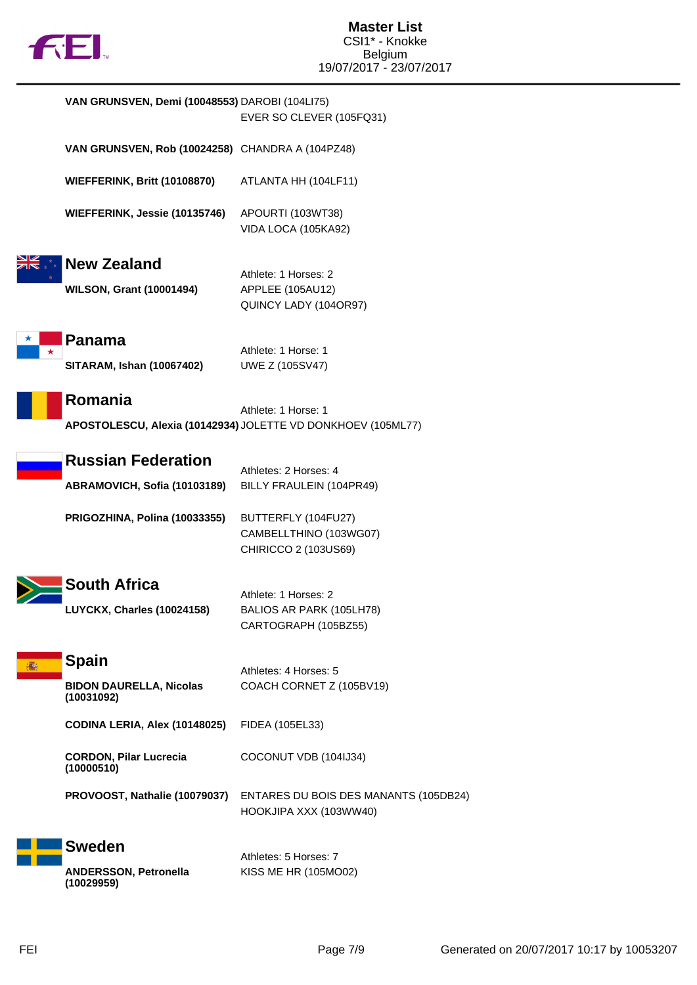

|   | VAN GRUNSVEN, Demi (10048553) DAROBI (104LI75)   |                                                              |
|---|--------------------------------------------------|--------------------------------------------------------------|
|   |                                                  | EVER SO CLEVER (105FQ31)                                     |
|   | VAN GRUNSVEN, Rob (10024258) CHANDRA A (104PZ48) |                                                              |
|   | <b>WIEFFERINK, Britt (10108870)</b>              | ATLANTA HH (104LF11)                                         |
|   | WIEFFERINK, Jessie (10135746)                    | APOURTI (103WT38)                                            |
|   |                                                  | VIDA LOCA (105KA92)                                          |
|   | <b>New Zealand</b>                               |                                                              |
|   |                                                  | Athlete: 1 Horses: 2                                         |
|   | <b>WILSON, Grant (10001494)</b>                  | APPLEE (105AU12)                                             |
|   |                                                  | QUINCY LADY (104OR97)                                        |
|   | Panama                                           |                                                              |
| * |                                                  | Athlete: 1 Horse: 1                                          |
|   | <b>SITARAM, Ishan (10067402)</b>                 | UWE Z (105SV47)                                              |
|   | Romania                                          |                                                              |
|   |                                                  | Athlete: 1 Horse: 1                                          |
|   |                                                  | APOSTOLESCU, Alexia (10142934) JOLETTE VD DONKHOEV (105ML77) |
|   |                                                  |                                                              |
|   | <b>Russian Federation</b>                        | Athletes: 2 Horses: 4                                        |
|   | ABRAMOVICH, Sofia (10103189)                     | BILLY FRAULEIN (104PR49)                                     |
|   | PRIGOZHINA, Polina (10033355)                    | BUTTERFLY (104FU27)                                          |
|   |                                                  | CAMBELLTHINO (103WG07)                                       |
|   |                                                  | CHIRICCO 2 (103US69)                                         |
|   |                                                  |                                                              |
|   | <b>South Africa</b>                              | Athlete: 1 Horses: 2                                         |
|   | <b>LUYCKX, Charles (10024158)</b>                | BALIOS AR PARK (105LH78)                                     |
|   |                                                  | CARTOGRAPH (105BZ55)                                         |
|   |                                                  |                                                              |
| 蘠 | <b>Spain</b>                                     |                                                              |
|   | <b>BIDON DAURELLA, Nicolas</b>                   | Athletes: 4 Horses: 5<br>COACH CORNET Z (105BV19)            |
|   | (10031092)                                       |                                                              |
|   | CODINA LERIA, Alex (10148025)                    | FIDEA (105EL33)                                              |
|   |                                                  |                                                              |
|   | <b>CORDON, Pilar Lucrecia</b><br>(10000510)      | COCONUT VDB (104IJ34)                                        |
|   | PROVOOST, Nathalie (10079037)                    | ENTARES DU BOIS DES MANANTS (105DB24)                        |
|   |                                                  | HOOKJIPA XXX (103WW40)                                       |
|   | <b>Sweden</b>                                    |                                                              |
|   |                                                  | Athletes: 5 Horses: 7                                        |
|   | <b>ANDERSSON, Petronella</b><br>(10029959)       | KISS ME HR (105MO02)                                         |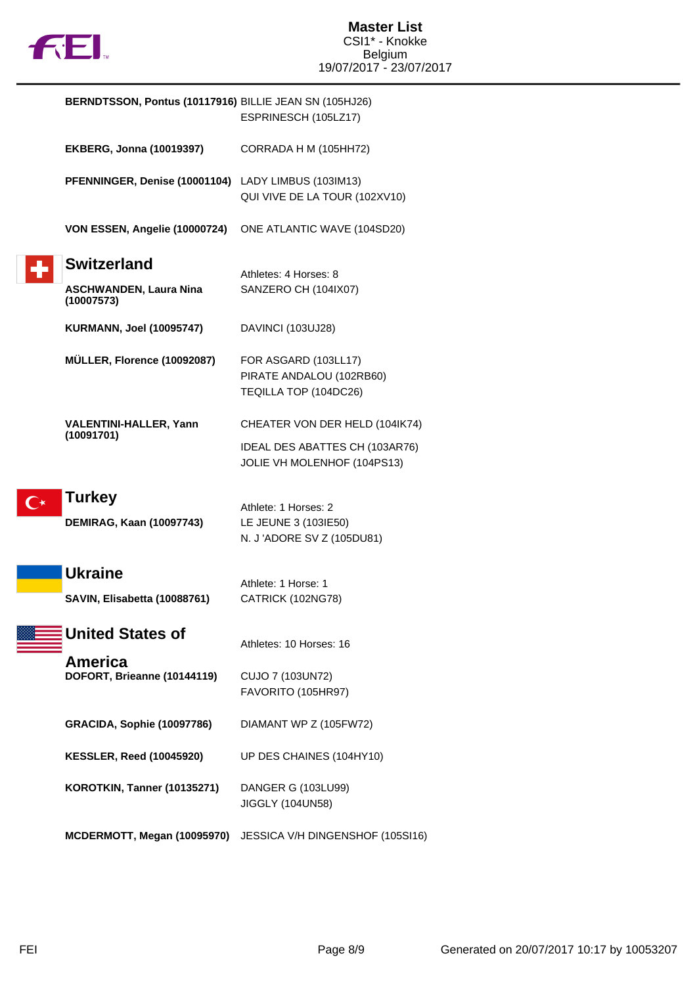

| BERNDTSSON, Pontus (10117916) BILLIE JEAN SN (105HJ26) | ESPRINESCH (105LZ17)                                                       |
|--------------------------------------------------------|----------------------------------------------------------------------------|
| <b>EKBERG, Jonna (10019397)</b>                        | CORRADA H M (105HH72)                                                      |
| PFENNINGER, Denise (10001104) LADY LIMBUS (103IM13)    | QUI VIVE DE LA TOUR (102XV10)                                              |
| VON ESSEN, Angelie (10000724)                          | ONE ATLANTIC WAVE (104SD20)                                                |
| <b>Switzerland</b>                                     | Athletes: 4 Horses: 8                                                      |
| <b>ASCHWANDEN, Laura Nina</b><br>(10007573)            | SANZERO CH (104IX07)                                                       |
| <b>KURMANN, Joel (10095747)</b>                        | DAVINCI (103UJ28)                                                          |
| MÜLLER, Florence (10092087)                            | FOR ASGARD (103LL17)<br>PIRATE ANDALOU (102RB60)<br>TEQILLA TOP (104DC26)  |
| <b>VALENTINI-HALLER, Yann</b><br>(10091701)            | CHEATER VON DER HELD (104IK74)                                             |
|                                                        | IDEAL DES ABATTES CH (103AR76)<br>JOLIE VH MOLENHOF (104PS13)              |
| Turkey<br>DEMIRAG, Kaan (10097743)                     | Athlete: 1 Horses: 2<br>LE JEUNE 3 (103IE50)<br>N. J 'ADORE SV Z (105DU81) |
| <b>Ukraine</b><br>SAVIN, Elisabetta (10088761)         | Athlete: 1 Horse: 1<br>CATRICK (102NG78)                                   |
| <b>United States of</b>                                | Athletes: 10 Horses: 16                                                    |
| America<br>DOFORT, Brieanne (10144119)                 | CUJO 7 (103UN72)<br>FAVORITO (105HR97)                                     |
| <b>GRACIDA, Sophie (10097786)</b>                      | DIAMANT WP Z (105FW72)                                                     |
| <b>KESSLER, Reed (10045920)</b>                        | UP DES CHAINES (104HY10)                                                   |
| KOROTKIN, Tanner (10135271)                            | DANGER G (103LU99)<br>JIGGLY (104UN58)                                     |
| MCDERMOTT, Megan (10095970)                            | JESSICA V/H DINGENSHOF (105SI16)                                           |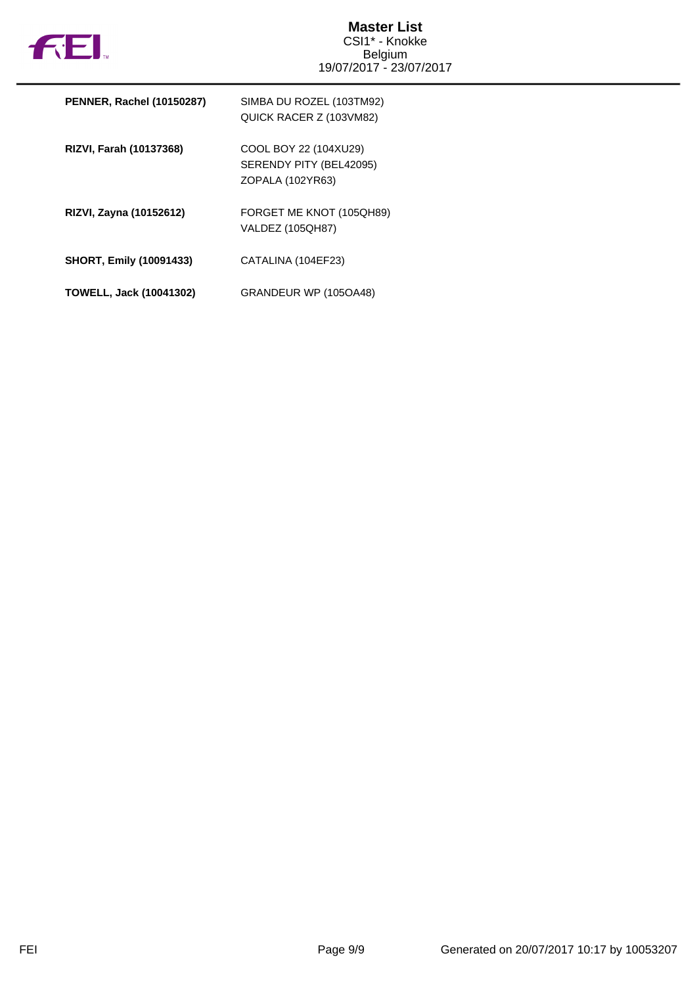

| <b>PENNER, Rachel (10150287)</b> | SIMBA DU ROZEL (103TM92)<br>QUICK RACER Z (103VM82)                  |
|----------------------------------|----------------------------------------------------------------------|
| RIZVI, Farah (10137368)          | COOL BOY 22 (104XU29)<br>SERENDY PITY (BEL42095)<br>ZOPALA (102YR63) |
| RIZVI, Zayna (10152612)          | FORGET ME KNOT (105QH89)<br><b>VALDEZ (105QH87)</b>                  |
| <b>SHORT, Emily (10091433)</b>   | CATALINA (104EF23)                                                   |
| <b>TOWELL, Jack (10041302)</b>   | GRANDEUR WP (105OA48)                                                |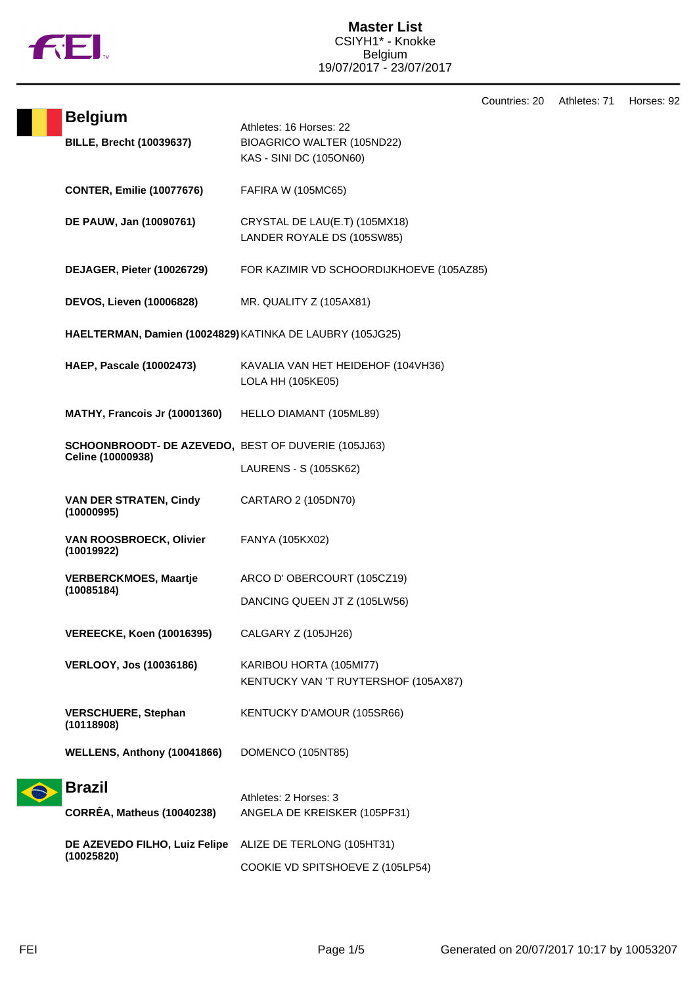

Countries: 20 Athletes: 71 Horses: 92

|  | <b>Belgium</b>                                                           | Athletes: 16 Horses: 22                                     |
|--|--------------------------------------------------------------------------|-------------------------------------------------------------|
|  | <b>BILLE, Brecht (10039637)</b>                                          | BIOAGRICO WALTER (105ND22)                                  |
|  |                                                                          | KAS - SINI DC (105ON60)                                     |
|  |                                                                          |                                                             |
|  | <b>CONTER, Emilie (10077676)</b>                                         | <b>FAFIRA W (105MC65)</b>                                   |
|  |                                                                          |                                                             |
|  | DE PAUW, Jan (10090761)                                                  | CRYSTAL DE LAU(E.T) (105MX18)<br>LANDER ROYALE DS (105SW85) |
|  |                                                                          |                                                             |
|  | DEJAGER, Pieter (10026729)                                               | FOR KAZIMIR VD SCHOORDIJKHOEVE (105AZ85)                    |
|  |                                                                          |                                                             |
|  | DEVOS, Lieven (10006828)                                                 | MR. QUALITY Z (105AX81)                                     |
|  |                                                                          |                                                             |
|  | HAELTERMAN, Damien (10024829) KATINKA DE LAUBRY (105JG25)                |                                                             |
|  | <b>HAEP, Pascale (10002473)</b>                                          | KAVALIA VAN HET HEIDEHOF (104VH36)                          |
|  |                                                                          | LOLA HH (105KE05)                                           |
|  |                                                                          |                                                             |
|  | MATHY, Francois Jr (10001360)                                            | HELLO DIAMANT (105ML89)                                     |
|  |                                                                          |                                                             |
|  | SCHOONBROODT- DE AZEVEDO, BEST OF DUVERIE (105JJ63)<br>Celine (10000938) |                                                             |
|  |                                                                          | LAURENS - S (105SK62)                                       |
|  |                                                                          |                                                             |
|  | <b>VAN DER STRATEN, Cindy</b><br>(10000995)                              | CARTARO 2 (105DN70)                                         |
|  |                                                                          |                                                             |
|  | <b>VAN ROOSBROECK, Olivier</b><br>(10019922)                             | FANYA (105KX02)                                             |
|  |                                                                          |                                                             |
|  | <b>VERBERCKMOES, Maartje</b>                                             | ARCO D' OBERCOURT (105CZ19)                                 |
|  | (10085184)                                                               | DANCING QUEEN JT Z (105LW56)                                |
|  |                                                                          |                                                             |
|  | <b>VEREECKE, Koen (10016395)</b>                                         | CALGARY Z (105JH26)                                         |
|  | <b>VERLOOY, Jos (10036186)</b>                                           | KARIBOU HORTA (105MI77)                                     |
|  |                                                                          | KENTUCKY VAN 'T RUYTERSHOF (105AX87)                        |
|  |                                                                          |                                                             |
|  | <b>VERSCHUERE, Stephan</b>                                               | KENTUCKY D'AMOUR (105SR66)                                  |
|  | (10118908)                                                               |                                                             |
|  | WELLENS, Anthony (10041866)                                              | DOMENCO (105NT85)                                           |
|  |                                                                          |                                                             |
|  | <b>Brazil</b>                                                            |                                                             |
|  | <b>CORRÊA, Matheus (10040238)</b>                                        | Athletes: 2 Horses: 3<br>ANGELA DE KREISKER (105PF31)       |
|  |                                                                          |                                                             |
|  | DE AZEVEDO FILHO, Luiz Felipe<br>(10025820)                              | ALIZE DE TERLONG (105HT31)                                  |
|  |                                                                          | COOKIE VD SPITSHOEVE Z (105LP54)                            |
|  |                                                                          |                                                             |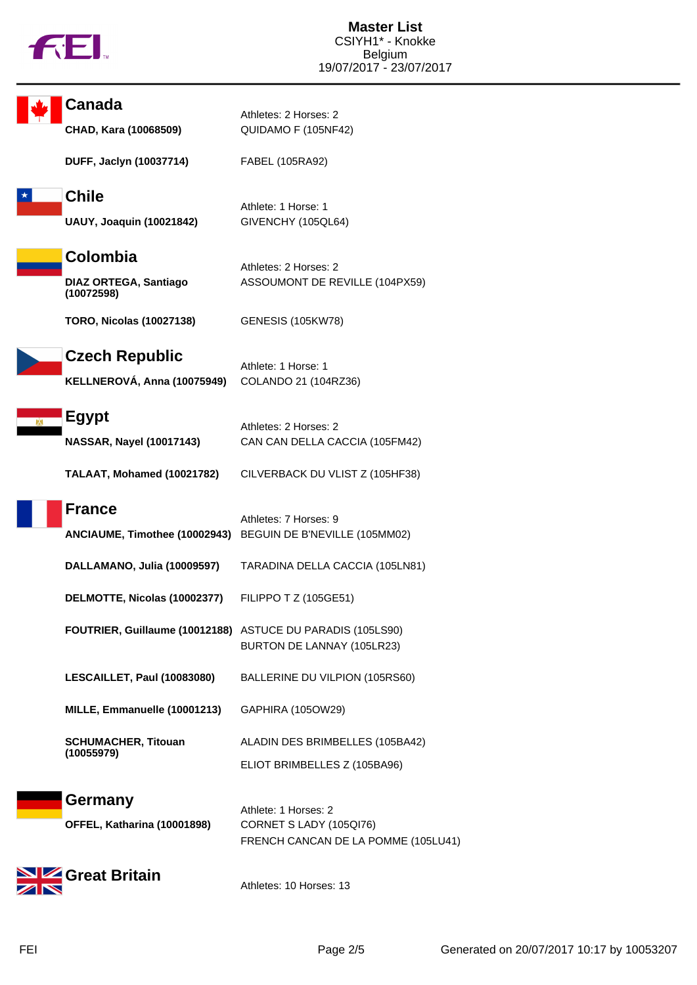

| Canada                                                     | Athletes: 2 Horses: 2                                                                  |
|------------------------------------------------------------|----------------------------------------------------------------------------------------|
| CHAD, Kara (10068509)                                      | QUIDAMO F (105NF42)                                                                    |
| DUFF, Jaclyn (10037714)                                    | FABEL (105RA92)                                                                        |
| <b>Chile</b><br><b>UAUY, Joaquin (10021842)</b>            | Athlete: 1 Horse: 1<br>GIVENCHY (105QL64)                                              |
| Colombia<br>DIAZ ORTEGA, Santiago<br>(10072598)            | Athletes: 2 Horses: 2<br>ASSOUMONT DE REVILLE (104PX59)                                |
| <b>TORO, Nicolas (10027138)</b>                            | GENESIS (105KW78)                                                                      |
| <b>Czech Republic</b><br>KELLNEROVÁ, Anna (10075949)       | Athlete: 1 Horse: 1<br>COLANDO 21 (104RZ36)                                            |
| <b>Egypt</b><br><b>NASSAR, Nayel (10017143)</b>            | Athletes: 2 Horses: 2<br>CAN CAN DELLA CACCIA (105FM42)                                |
| TALAAT, Mohamed (10021782)                                 | CILVERBACK DU VLIST Z (105HF38)                                                        |
| <b>France</b>                                              | Athletes: 7 Horses: 9<br>ANCIAUME, Timothee (10002943) BEGUIN DE B'NEVILLE (105MM02)   |
| DALLAMANO, Julia (10009597)                                | TARADINA DELLA CACCIA (105LN81)                                                        |
| DELMOTTE, Nicolas (10002377)                               | FILIPPO T Z (105GE51)                                                                  |
| FOUTRIER, Guillaume (10012188) ASTUCE DU PARADIS (105LS90) | BURTON DE LANNAY (105LR23)                                                             |
| LESCAILLET, Paul (10083080)                                | BALLERINE DU VILPION (105RS60)                                                         |
| MILLE, Emmanuelle (10001213)                               | GAPHIRA (105OW29)                                                                      |
| <b>SCHUMACHER, Titouan</b><br>(10055979)                   | ALADIN DES BRIMBELLES (105BA42)<br>ELIOT BRIMBELLES Z (105BA96)                        |
| Germany<br>OFFEL, Katharina (10001898)                     | Athlete: 1 Horses: 2<br>CORNET S LADY (105QI76)<br>FRENCH CANCAN DE LA POMME (105LU41) |
| Great Britain                                              | Athletes: 10 Horses: 13                                                                |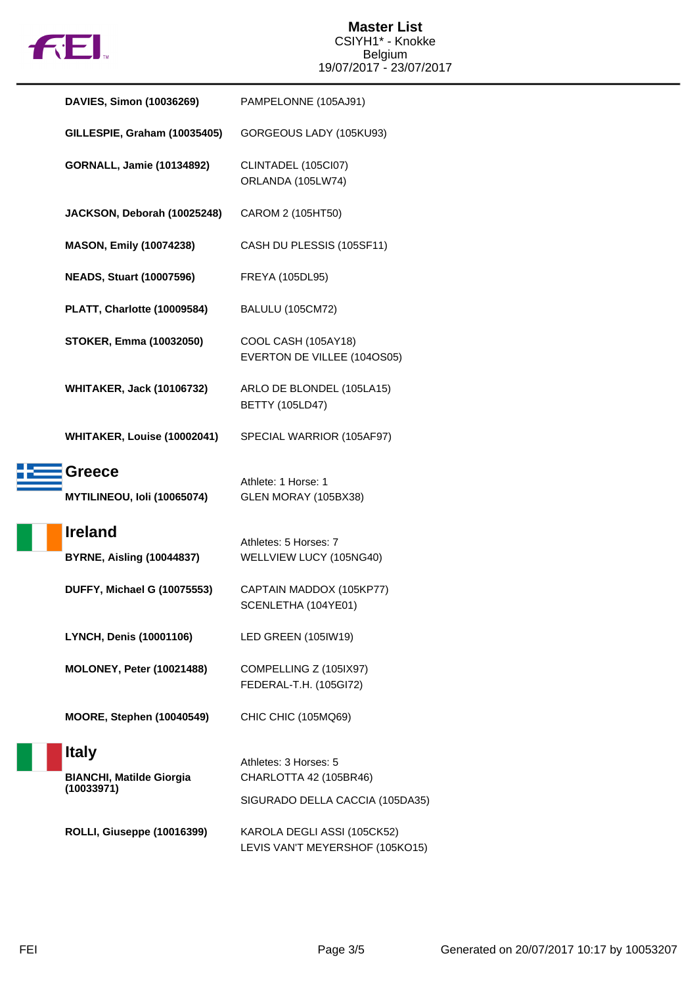

| DAVIES, Simon (10036269)                                      | PAMPELONNE (105AJ91)                                                               |
|---------------------------------------------------------------|------------------------------------------------------------------------------------|
| GILLESPIE, Graham (10035405)                                  | GORGEOUS LADY (105KU93)                                                            |
| <b>GORNALL, Jamie (10134892)</b>                              | CLINTADEL (105Cl07)<br>ORLANDA (105LW74)                                           |
| JACKSON, Deborah (10025248)                                   | CAROM 2 (105HT50)                                                                  |
| <b>MASON, Emily (10074238)</b>                                | CASH DU PLESSIS (105SF11)                                                          |
| <b>NEADS, Stuart (10007596)</b>                               | FREYA (105DL95)                                                                    |
| PLATT, Charlotte (10009584)                                   | <b>BALULU (105CM72)</b>                                                            |
| <b>STOKER, Emma (10032050)</b>                                | COOL CASH (105AY18)<br>EVERTON DE VILLEE (104OS05)                                 |
| <b>WHITAKER, Jack (10106732)</b>                              | ARLO DE BLONDEL (105LA15)<br><b>BETTY (105LD47)</b>                                |
| WHITAKER, Louise (10002041)                                   | SPECIAL WARRIOR (105AF97)                                                          |
| <b>Greece</b><br>MYTILINEOU, Ioli (10065074)                  | Athlete: 1 Horse: 1<br>GLEN MORAY (105BX38)                                        |
| <b>Ireland</b><br><b>BYRNE, Aisling (10044837)</b>            | Athletes: 5 Horses: 7<br>WELLVIEW LUCY (105NG40)                                   |
| <b>DUFFY, Michael G (10075553)</b>                            | CAPTAIN MADDOX (105KP77)<br>SCENLETHA (104YE01)                                    |
| LYNCH, Denis (10001106)                                       | LED GREEN (105IW19)                                                                |
| <b>MOLONEY, Peter (10021488)</b>                              | COMPELLING Z (105IX97)<br>FEDERAL-T.H. (105GI72)                                   |
| MOORE, Stephen (10040549)                                     | CHIC CHIC (105MQ69)                                                                |
| <b>Italy</b><br><b>BIANCHI, Matilde Giorgia</b><br>(10033971) | Athletes: 3 Horses: 5<br>CHARLOTTA 42 (105BR46)<br>SIGURADO DELLA CACCIA (105DA35) |
| ROLLI, Giuseppe (10016399)                                    | KAROLA DEGLI ASSI (105CK52)<br>LEVIS VAN'T MEYERSHOF (105KO15)                     |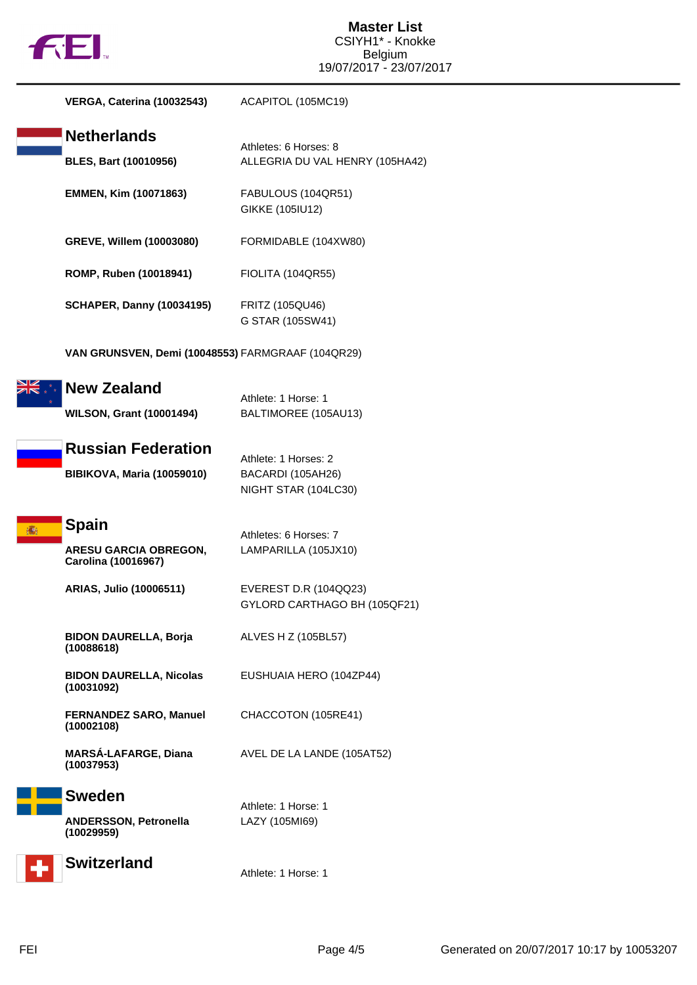

| <b>VERGA, Caterina (10032543)</b>                                   | ACAPITOL (105MC19)                                                |
|---------------------------------------------------------------------|-------------------------------------------------------------------|
| <b>Netherlands</b><br><b>BLES, Bart (10010956)</b>                  | Athletes: 6 Horses: 8<br>ALLEGRIA DU VAL HENRY (105HA42)          |
| EMMEN, Kim (10071863)                                               | FABULOUS (104QR51)<br>GIKKE (105IU12)                             |
| GREVE, Willem (10003080)                                            | FORMIDABLE (104XW80)                                              |
| ROMP, Ruben (10018941)                                              | <b>FIOLITA (104QR55)</b>                                          |
| <b>SCHAPER, Danny (10034195)</b>                                    | <b>FRITZ (105QU46)</b><br>G STAR (105SW41)                        |
| VAN GRUNSVEN, Demi (10048553) FARMGRAAF (104QR29)                   |                                                                   |
| <b>New Zealand</b><br><b>WILSON, Grant (10001494)</b>               | Athlete: 1 Horse: 1<br>BALTIMOREE (105AU13)                       |
| <b>Russian Federation</b><br><b>BIBIKOVA, Maria (10059010)</b>      | Athlete: 1 Horses: 2<br>BACARDI (105AH26)<br>NIGHT STAR (104LC30) |
| <b>Spain</b><br><b>ARESU GARCIA OBREGON,</b><br>Carolina (10016967) | Athletes: 6 Horses: 7<br>LAMPARILLA (105JX10)                     |
| <b>ARIAS, Julio (10006511)</b>                                      | EVEREST D.R (104QQ23)<br>GYLORD CARTHAGO BH (105QF21)             |
| <b>BIDON DAURELLA, Borja</b><br>(10088618)                          | ALVES H Z (105BL57)                                               |
| <b>BIDON DAURELLA, Nicolas</b><br>(10031092)                        | EUSHUAIA HERO (104ZP44)                                           |
| <b>FERNANDEZ SARO, Manuel</b><br>(10002108)                         | CHACCOTON (105RE41)                                               |
| <b>MARSÁ-LAFARGE, Diana</b><br>(10037953)                           | AVEL DE LA LANDE (105AT52)                                        |
| <b>Sweden</b><br><b>ANDERSSON, Petronella</b><br>(10029959)         | Athlete: 1 Horse: 1<br>LAZY (105MI69)                             |
| <b>Switzerland</b>                                                  | Athlete: 1 Horse: 1                                               |